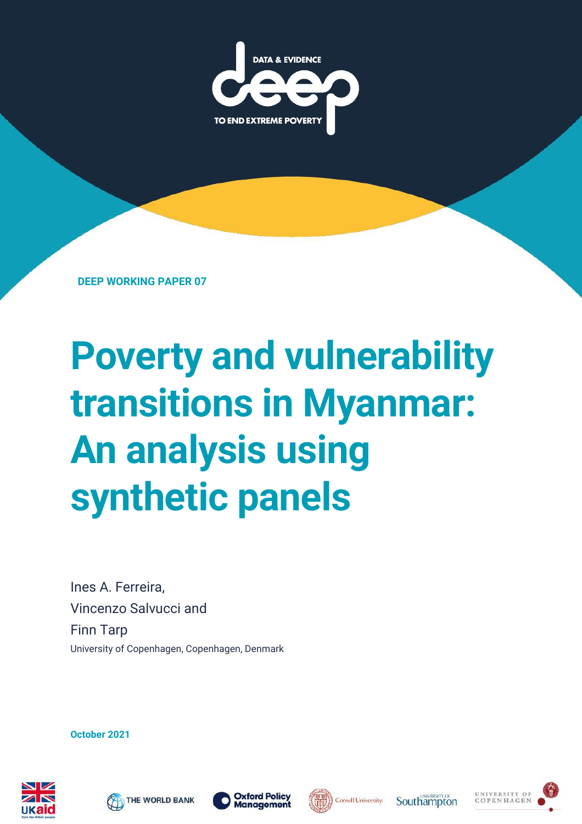

**DEEP WORKING PAPER 07**

# **Poverty and vulnerability transitions in Myanmar: An analysis using synthetic panels**

Ines A. Ferreira, Vincenzo Salvucci and Finn Tarp University of Copenhagen, Copenhagen, Denmark

**October 2021**









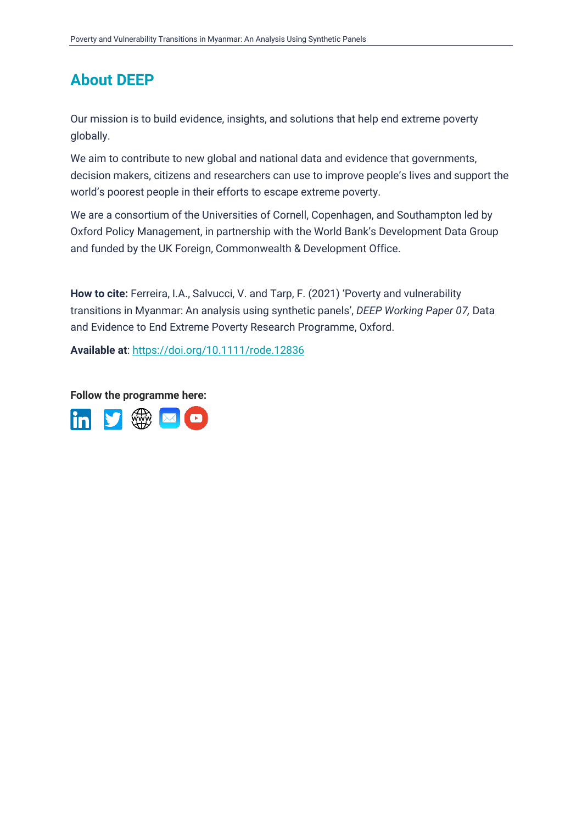### **About DEEP**

Our mission is to build evidence, insights, and solutions that help end extreme poverty globally.

We aim to contribute to new global and national data and evidence that governments, decision makers, citizens and researchers can use to improve people's lives and support the world's poorest people in their efforts to escape extreme poverty.

We are a consortium of the Universities of Cornell, Copenhagen, and Southampton led by Oxford Policy Management, in partnership with the World Bank's Development Data Group and funded by the UK Foreign, Commonwealth & Development Office.

**How to cite:** Ferreira, I.A., Salvucci, V. and Tarp, F. (2021) 'Poverty and vulnerability transitions in Myanmar: An analysis using synthetic panels', *DEEP Working Paper 07,* Data and Evidence to End Extreme Poverty Research Programme, Oxford.

**Available at**:<https://doi.org/10.1111/rode.12836>

**Follow the programme here:**

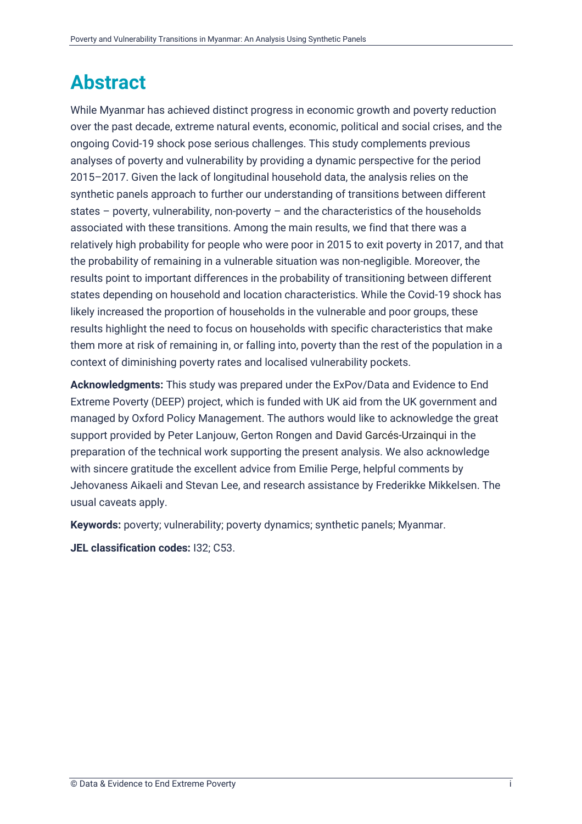### <span id="page-2-0"></span>**Abstract**

While Myanmar has achieved distinct progress in economic growth and poverty reduction over the past decade, extreme natural events, economic, political and social crises, and the ongoing Covid-19 shock pose serious challenges. This study complements previous analyses of poverty and vulnerability by providing a dynamic perspective for the period 2015–2017. Given the lack of longitudinal household data, the analysis relies on the synthetic panels approach to further our understanding of transitions between different states – poverty, vulnerability, non-poverty – and the characteristics of the households associated with these transitions. Among the main results, we find that there was a relatively high probability for people who were poor in 2015 to exit poverty in 2017, and that the probability of remaining in a vulnerable situation was non-negligible. Moreover, the results point to important differences in the probability of transitioning between different states depending on household and location characteristics. While the Covid-19 shock has likely increased the proportion of households in the vulnerable and poor groups, these results highlight the need to focus on households with specific characteristics that make them more at risk of remaining in, or falling into, poverty than the rest of the population in a context of diminishing poverty rates and localised vulnerability pockets.

**Acknowledgments:** This study was prepared under the ExPov/Data and Evidence to End Extreme Poverty (DEEP) project, which is funded with UK aid from the UK government and managed by Oxford Policy Management. The authors would like to acknowledge the great support provided by Peter Lanjouw, Gerton Rongen and David Garcés-Urzainqui in the preparation of the technical work supporting the present analysis. We also acknowledge with sincere gratitude the excellent advice from Emilie Perge, helpful comments by Jehovaness Aikaeli and Stevan Lee, and research assistance by Frederikke Mikkelsen. The usual caveats apply.

**Keywords:** poverty; vulnerability; poverty dynamics; synthetic panels; Myanmar.

**JEL classification codes:** I32; C53.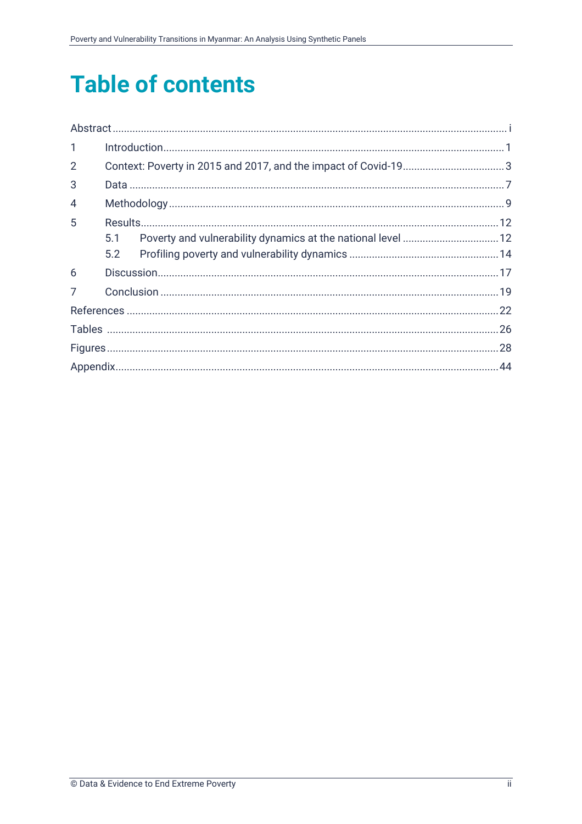## **Table of contents**

| $\mathbf{1}$   |     |  |
|----------------|-----|--|
| $\overline{2}$ |     |  |
| 3              |     |  |
| 4              |     |  |
| 5              |     |  |
|                | 5.1 |  |
|                | 5.2 |  |
| 6              |     |  |
| 7              |     |  |
|                |     |  |
|                |     |  |
|                |     |  |
|                |     |  |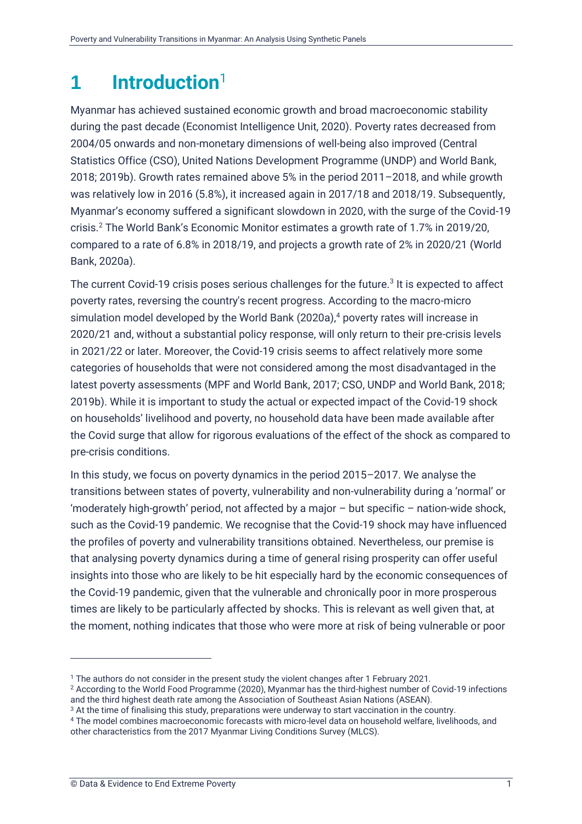### <span id="page-4-0"></span>**1 Introduction**<sup>1</sup>

Myanmar has achieved sustained economic growth and broad macroeconomic stability during the past decade (Economist Intelligence Unit, 2020). Poverty rates decreased from 2004/05 onwards and non-monetary dimensions of well-being also improved (Central Statistics Office (CSO), United Nations Development Programme (UNDP) and World Bank, 2018; 2019b). Growth rates remained above 5% in the period 2011–2018, and while growth was relatively low in 2016 (5.8%), it increased again in 2017/18 and 2018/19. Subsequently, Myanmar's economy suffered a significant slowdown in 2020, with the surge of the Covid-19 crisis.<sup>2</sup> The World Bank's Economic Monitor estimates a growth rate of 1.7% in 2019/20, compared to a rate of 6.8% in 2018/19, and projects a growth rate of 2% in 2020/21 (World Bank, 2020a).

The current Covid-19 crisis poses serious challenges for the future.<sup>3</sup> It is expected to affect poverty rates, reversing the country's recent progress. According to the macro-micro simulation model developed by the World Bank (2020a),<sup>4</sup> poverty rates will increase in 2020/21 and, without a substantial policy response, will only return to their pre-crisis levels in 2021/22 or later. Moreover, the Covid-19 crisis seems to affect relatively more some categories of households that were not considered among the most disadvantaged in the latest poverty assessments (MPF and World Bank, 2017; CSO, UNDP and World Bank, 2018; 2019b). While it is important to study the actual or expected impact of the Covid-19 shock on households' livelihood and poverty, no household data have been made available after the Covid surge that allow for rigorous evaluations of the effect of the shock as compared to pre-crisis conditions.

In this study, we focus on poverty dynamics in the period 2015–2017. We analyse the transitions between states of poverty, vulnerability and non-vulnerability during a 'normal' or 'moderately high-growth' period, not affected by a major – but specific – nation-wide shock, such as the Covid-19 pandemic. We recognise that the Covid-19 shock may have influenced the profiles of poverty and vulnerability transitions obtained. Nevertheless, our premise is that analysing poverty dynamics during a time of general rising prosperity can offer useful insights into those who are likely to be hit especially hard by the economic consequences of the Covid-19 pandemic, given that the vulnerable and chronically poor in more prosperous times are likely to be particularly affected by shocks. This is relevant as well given that, at the moment, nothing indicates that those who were more at risk of being vulnerable or poor

<sup>1</sup> The authors do not consider in the present study the violent changes after 1 February 2021.

<sup>2</sup> According to the World Food Programme (2020), Myanmar has the third-highest number of Covid-19 infections and the third highest death rate among the Association of Southeast Asian Nations (ASEAN).

<sup>3</sup> At the time of finalising this study, preparations were underway to start vaccination in the country.

<sup>4</sup> The model combines macroeconomic forecasts with micro-level data on household welfare, livelihoods, and other characteristics from the 2017 Myanmar Living Conditions Survey (MLCS).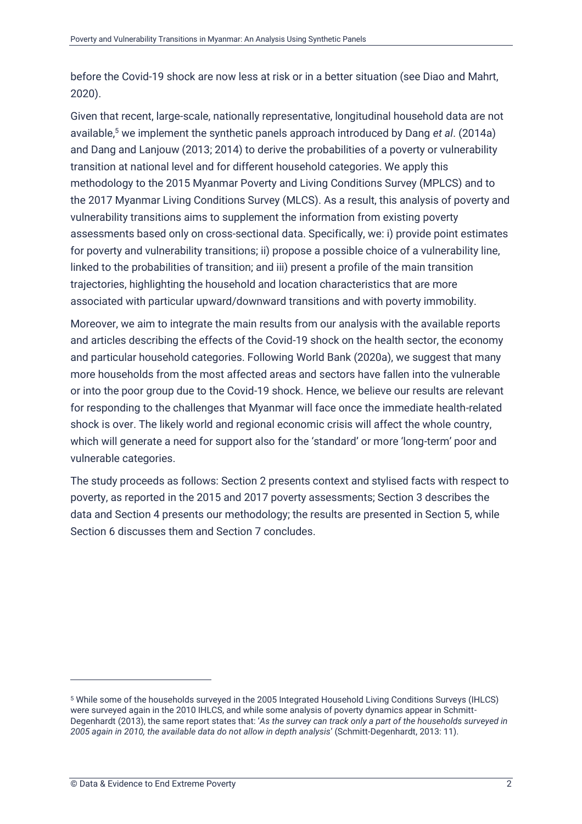before the Covid-19 shock are now less at risk or in a better situation (see Diao and Mahrt, 2020).

Given that recent, large-scale, nationally representative, longitudinal household data are not available,<sup>5</sup> we implement the synthetic panels approach introduced by Dang *et al*. (2014a) and Dang and Lanjouw (2013; 2014) to derive the probabilities of a poverty or vulnerability transition at national level and for different household categories. We apply this methodology to the 2015 Myanmar Poverty and Living Conditions Survey (MPLCS) and to the 2017 Myanmar Living Conditions Survey (MLCS). As a result, this analysis of poverty and vulnerability transitions aims to supplement the information from existing poverty assessments based only on cross-sectional data. Specifically, we: i) provide point estimates for poverty and vulnerability transitions; ii) propose a possible choice of a vulnerability line, linked to the probabilities of transition; and iii) present a profile of the main transition trajectories, highlighting the household and location characteristics that are more associated with particular upward/downward transitions and with poverty immobility.

Moreover, we aim to integrate the main results from our analysis with the available reports and articles describing the effects of the Covid-19 shock on the health sector, the economy and particular household categories. Following World Bank (2020a), we suggest that many more households from the most affected areas and sectors have fallen into the vulnerable or into the poor group due to the Covid-19 shock. Hence, we believe our results are relevant for responding to the challenges that Myanmar will face once the immediate health-related shock is over. The likely world and regional economic crisis will affect the whole country, which will generate a need for support also for the 'standard' or more 'long-term' poor and vulnerable categories.

The study proceeds as follows: Section [2](#page-6-0) presents context and stylised facts with respect to poverty, as reported in the 2015 and 2017 poverty assessments; Section [3](#page-10-0) describes the data and Section [4](#page-12-0) presents our methodology; the results are presented in Section [5,](#page-15-0) while Section [6](#page-20-0) discusses them and Section [7](#page-22-0) concludes.

<sup>5</sup> While some of the households surveyed in the 2005 Integrated Household Living Conditions Surveys (IHLCS) were surveyed again in the 2010 IHLCS, and while some analysis of poverty dynamics appear in Schmitt-Degenhardt (2013), the same report states that: '*As the survey can track only a part of the households surveyed in 2005 again in 2010, the available data do not allow in depth analysis*' (Schmitt-Degenhardt, 2013: 11).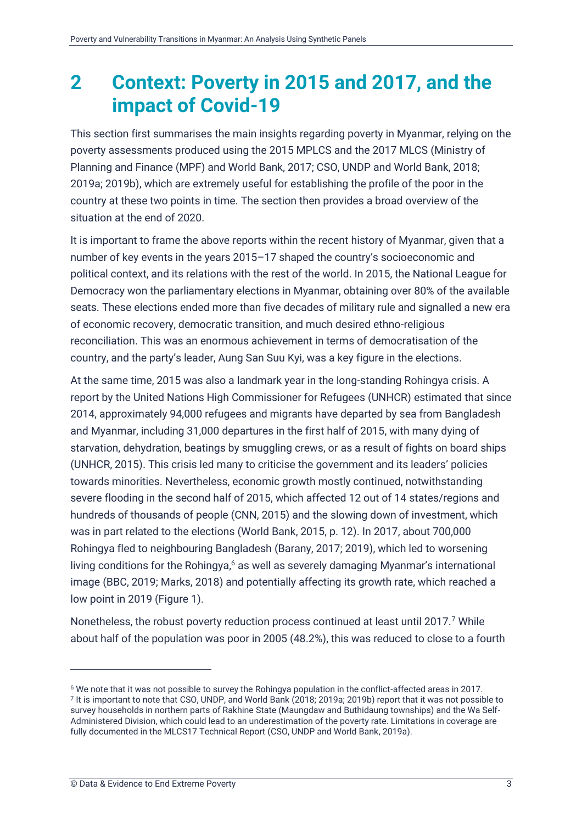### <span id="page-6-0"></span>**2 Context: Poverty in 2015 and 2017, and the impact of Covid-19**

This section first summarises the main insights regarding poverty in Myanmar, relying on the poverty assessments produced using the 2015 MPLCS and the 2017 MLCS (Ministry of Planning and Finance (MPF) and World Bank, 2017; CSO, UNDP and World Bank, 2018; 2019a; 2019b), which are extremely useful for establishing the profile of the poor in the country at these two points in time. The section then provides a broad overview of the situation at the end of 2020.

It is important to frame the above reports within the recent history of Myanmar, given that a number of key events in the years 2015–17 shaped the country's socioeconomic and political context, and its relations with the rest of the world. In 2015, the National League for Democracy won the parliamentary elections in Myanmar, obtaining over 80% of the available seats. These elections ended more than five decades of military rule and signalled a new era of economic recovery, democratic transition, and much desired ethno-religious reconciliation. This was an enormous achievement in terms of democratisation of the country, and the party's leader, Aung San Suu Kyi, was a key figure in the elections.

At the same time, 2015 was also a landmark year in the long-standing Rohingya crisis. A report by the United Nations High Commissioner for Refugees (UNHCR) estimated that since 2014, approximately 94,000 refugees and migrants have departed by sea from Bangladesh and Myanmar, including 31,000 departures in the first half of 2015, with many dying of starvation, dehydration, beatings by smuggling crews, or as a result of fights on board ships (UNHCR, 2015). This crisis led many to criticise the government and its leaders' policies towards minorities. Nevertheless, economic growth mostly continued, notwithstanding severe flooding in the second half of 2015, which affected 12 out of 14 states/regions and hundreds of thousands of people (CNN, 2015) and the slowing down of investment, which was in part related to the elections (World Bank, 2015, p. 12). In 2017, about 700,000 Rohingya fled to neighbouring Bangladesh (Barany, 2017; 2019), which led to worsening living conditions for the Rohingya,<sup>6</sup> as well as severely damaging Myanmar's international image (BBC, 2019; Marks, 2018) and potentially affecting its growth rate, which reached a low point in 2019 (Figure 1).

Nonetheless, the robust poverty reduction process continued at least until 2017.<sup>7</sup> While about half of the population was poor in 2005 (48.2%), this was reduced to close to a fourth

<sup>6</sup> We note that it was not possible to survey the Rohingya population in the conflict-affected areas in 2017. <sup>7</sup> It is important to note that CSO, UNDP, and World Bank (2018; 2019a; 2019b) report that it was not possible to survey households in northern parts of Rakhine State (Maungdaw and Buthidaung townships) and the Wa Self-Administered Division, which could lead to an underestimation of the poverty rate. Limitations in coverage are fully documented in the MLCS17 Technical Report (CSO, UNDP and World Bank, 2019a).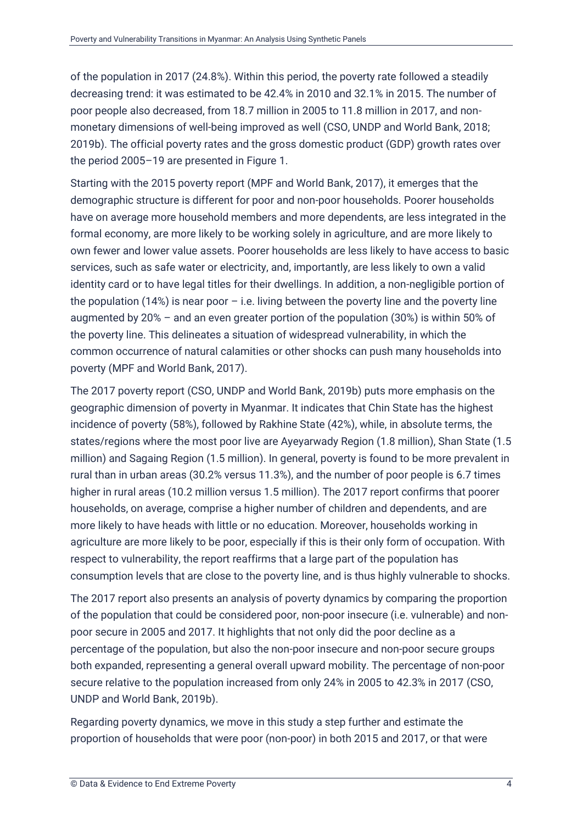of the population in 2017 (24.8%). Within this period, the poverty rate followed a steadily decreasing trend: it was estimated to be 42.4% in 2010 and 32.1% in 2015. The number of poor people also decreased, from 18.7 million in 2005 to 11.8 million in 2017, and nonmonetary dimensions of well-being improved as well (CSO, UNDP and World Bank, 2018; 2019b). The official poverty rates and the gross domestic product (GDP) growth rates over the period 2005–19 are presented in Figure 1.

Starting with the 2015 poverty report (MPF and World Bank, 2017), it emerges that the demographic structure is different for poor and non-poor households. Poorer households have on average more household members and more dependents, are less integrated in the formal economy, are more likely to be working solely in agriculture, and are more likely to own fewer and lower value assets. Poorer households are less likely to have access to basic services, such as safe water or electricity, and, importantly, are less likely to own a valid identity card or to have legal titles for their dwellings. In addition, a non-negligible portion of the population  $(14%)$  is near poor – i.e. living between the poverty line and the poverty line augmented by 20% – and an even greater portion of the population (30%) is within 50% of the poverty line. This delineates a situation of widespread vulnerability, in which the common occurrence of natural calamities or other shocks can push many households into poverty (MPF and World Bank, 2017).

The 2017 poverty report (CSO, UNDP and World Bank, 2019b) puts more emphasis on the geographic dimension of poverty in Myanmar. It indicates that Chin State has the highest incidence of poverty (58%), followed by Rakhine State (42%), while, in absolute terms, the states/regions where the most poor live are Ayeyarwady Region (1.8 million), Shan State (1.5 million) and Sagaing Region (1.5 million). In general, poverty is found to be more prevalent in rural than in urban areas (30.2% versus 11.3%), and the number of poor people is 6.7 times higher in rural areas (10.2 million versus 1.5 million). The 2017 report confirms that poorer households, on average, comprise a higher number of children and dependents, and are more likely to have heads with little or no education. Moreover, households working in agriculture are more likely to be poor, especially if this is their only form of occupation. With respect to vulnerability, the report reaffirms that a large part of the population has consumption levels that are close to the poverty line, and is thus highly vulnerable to shocks.

The 2017 report also presents an analysis of poverty dynamics by comparing the proportion of the population that could be considered poor, non-poor insecure (i.e. vulnerable) and nonpoor secure in 2005 and 2017. It highlights that not only did the poor decline as a percentage of the population, but also the non-poor insecure and non-poor secure groups both expanded, representing a general overall upward mobility. The percentage of non-poor secure relative to the population increased from only 24% in 2005 to 42.3% in 2017 (CSO, UNDP and World Bank, 2019b).

Regarding poverty dynamics, we move in this study a step further and estimate the proportion of households that were poor (non-poor) in both 2015 and 2017, or that were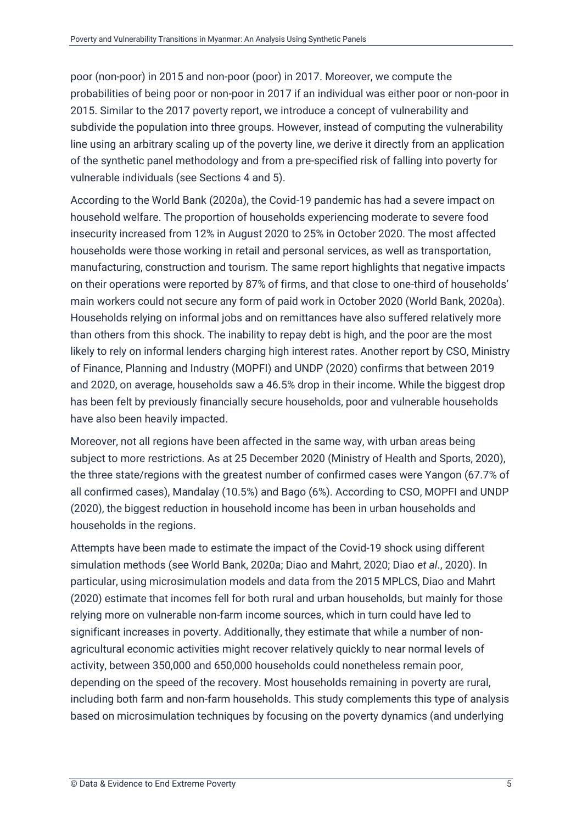poor (non-poor) in 2015 and non-poor (poor) in 2017. Moreover, we compute the probabilities of being poor or non-poor in 2017 if an individual was either poor or non-poor in 2015. Similar to the 2017 poverty report, we introduce a concept of vulnerability and subdivide the population into three groups. However, instead of computing the vulnerability line using an arbitrary scaling up of the poverty line, we derive it directly from an application of the synthetic panel methodology and from a pre-specified risk of falling into poverty for vulnerable individuals (see Sections [4](#page-12-0) and [5\)](#page-15-0).

According to the World Bank (2020a), the Covid-19 pandemic has had a severe impact on household welfare. The proportion of households experiencing moderate to severe food insecurity increased from 12% in August 2020 to 25% in October 2020. The most affected households were those working in retail and personal services, as well as transportation, manufacturing, construction and tourism. The same report highlights that negative impacts on their operations were reported by 87% of firms, and that close to one-third of households' main workers could not secure any form of paid work in October 2020 (World Bank, 2020a). Households relying on informal jobs and on remittances have also suffered relatively more than others from this shock. The inability to repay debt is high, and the poor are the most likely to rely on informal lenders charging high interest rates. Another report by CSO, Ministry of Finance, Planning and Industry (MOPFI) and UNDP (2020) confirms that between 2019 and 2020, on average, households saw a 46.5% drop in their income. While the biggest drop has been felt by previously financially secure households, poor and vulnerable households have also been heavily impacted.

Moreover, not all regions have been affected in the same way, with urban areas being subject to more restrictions. As at 25 December 2020 (Ministry of Health and Sports, 2020), the three state/regions with the greatest number of confirmed cases were Yangon (67.7% of all confirmed cases), Mandalay (10.5%) and Bago (6%). According to CSO, MOPFI and UNDP (2020), the biggest reduction in household income has been in urban households and households in the regions.

Attempts have been made to estimate the impact of the Covid-19 shock using different simulation methods (see World Bank, 2020a; Diao and Mahrt, 2020; Diao *et al*., 2020). In particular, using microsimulation models and data from the 2015 MPLCS, Diao and Mahrt (2020) estimate that incomes fell for both rural and urban households, but mainly for those relying more on vulnerable non-farm income sources, which in turn could have led to significant increases in poverty. Additionally, they estimate that while a number of nonagricultural economic activities might recover relatively quickly to near normal levels of activity, between 350,000 and 650,000 households could nonetheless remain poor, depending on the speed of the recovery. Most households remaining in poverty are rural, including both farm and non-farm households. This study complements this type of analysis based on microsimulation techniques by focusing on the poverty dynamics (and underlying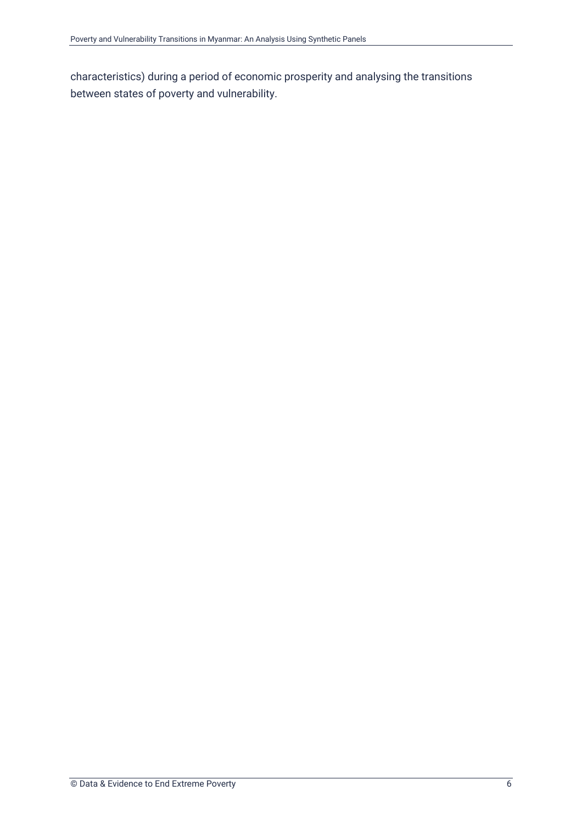characteristics) during a period of economic prosperity and analysing the transitions between states of poverty and vulnerability.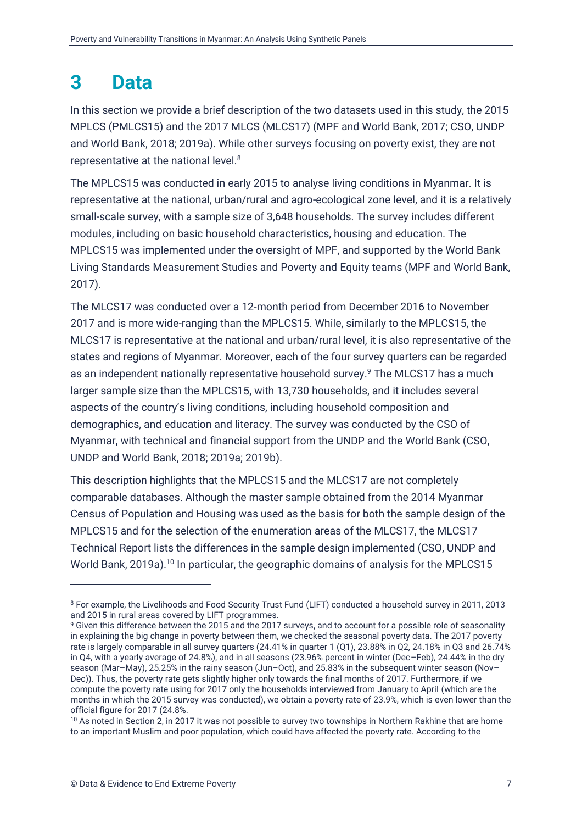### <span id="page-10-0"></span>**3 Data**

In this section we provide a brief description of the two datasets used in this study, the 2015 MPLCS (PMLCS15) and the 2017 MLCS (MLCS17) (MPF and World Bank, 2017; CSO, UNDP and World Bank, 2018; 2019a). While other surveys focusing on poverty exist, they are not representative at the national level.<sup>8</sup>

The MPLCS15 was conducted in early 2015 to analyse living conditions in Myanmar. It is representative at the national, urban/rural and agro-ecological zone level, and it is a relatively small-scale survey, with a sample size of 3,648 households. The survey includes different modules, including on basic household characteristics, housing and education. The MPLCS15 was implemented under the oversight of MPF, and supported by the World Bank Living Standards Measurement Studies and Poverty and Equity teams (MPF and World Bank, 2017).

The MLCS17 was conducted over a 12-month period from December 2016 to November 2017 and is more wide-ranging than the MPLCS15. While, similarly to the MPLCS15, the MLCS17 is representative at the national and urban/rural level, it is also representative of the states and regions of Myanmar. Moreover, each of the four survey quarters can be regarded as an independent nationally representative household survey.<sup>9</sup> The MLCS17 has a much larger sample size than the MPLCS15, with 13,730 households, and it includes several aspects of the country's living conditions, including household composition and demographics, and education and literacy. The survey was conducted by the CSO of Myanmar, with technical and financial support from the UNDP and the World Bank (CSO, UNDP and World Bank, 2018; 2019a; 2019b).

This description highlights that the MPLCS15 and the MLCS17 are not completely comparable databases. Although the master sample obtained from the 2014 Myanmar Census of Population and Housing was used as the basis for both the sample design of the MPLCS15 and for the selection of the enumeration areas of the MLCS17, the MLCS17 Technical Report lists the differences in the sample design implemented (CSO, UNDP and World Bank, 2019a).<sup>10</sup> In particular, the geographic domains of analysis for the MPLCS15

<sup>8</sup> For example, the Livelihoods and Food Security Trust Fund (LIFT) conducted a household survey in 2011, 2013 and 2015 in rural areas covered by LIFT programmes.

<sup>&</sup>lt;sup>9</sup> Given this difference between the 2015 and the 2017 surveys, and to account for a possible role of seasonality in explaining the big change in poverty between them, we checked the seasonal poverty data. The 2017 poverty rate is largely comparable in all survey quarters (24.41% in quarter 1 (Q1), 23.88% in Q2, 24.18% in Q3 and 26.74% in Q4, with a yearly average of 24.8%), and in all seasons (23.96% percent in winter (Dec–Feb), 24.44% in the dry season (Mar–May), 25.25% in the rainy season (Jun–Oct), and 25.83% in the subsequent winter season (Nov– Dec)). Thus, the poverty rate gets slightly higher only towards the final months of 2017. Furthermore, if we compute the poverty rate using for 2017 only the households interviewed from January to April (which are the months in which the 2015 survey was conducted), we obtain a poverty rate of 23.9%, which is even lower than the official figure for 2017 (24.8%.

<sup>&</sup>lt;sup>10</sup> As noted in Section 2, in 2017 it was not possible to survey two townships in Northern Rakhine that are home to an important Muslim and poor population, which could have affected the poverty rate. According to the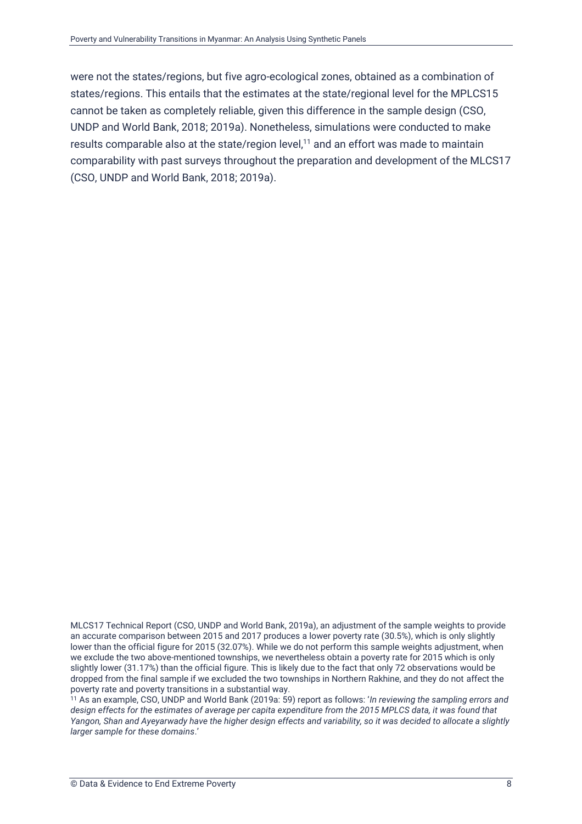were not the states/regions, but five agro-ecological zones, obtained as a combination of states/regions. This entails that the estimates at the state/regional level for the MPLCS15 cannot be taken as completely reliable, given this difference in the sample design (CSO, UNDP and World Bank, 2018; 2019a). Nonetheless, simulations were conducted to make results comparable also at the state/region level, $11$  and an effort was made to maintain comparability with past surveys throughout the preparation and development of the MLCS17 (CSO, UNDP and World Bank, 2018; 2019a).

MLCS17 Technical Report (CSO, UNDP and World Bank, 2019a), an adjustment of the sample weights to provide an accurate comparison between 2015 and 2017 produces a lower poverty rate (30.5%), which is only slightly lower than the official figure for 2015 (32.07%). While we do not perform this sample weights adjustment, when we exclude the two above-mentioned townships, we nevertheless obtain a poverty rate for 2015 which is only slightly lower (31.17%) than the official figure. This is likely due to the fact that only 72 observations would be dropped from the final sample if we excluded the two townships in Northern Rakhine, and they do not affect the poverty rate and poverty transitions in a substantial way.

<sup>11</sup> As an example, CSO, UNDP and World Bank (2019a: 59) report as follows: '*In reviewing the sampling errors and design effects for the estimates of average per capita expenditure from the 2015 MPLCS data, it was found that Yangon, Shan and Ayeyarwady have the higher design effects and variability, so it was decided to allocate a slightly larger sample for these domains*.'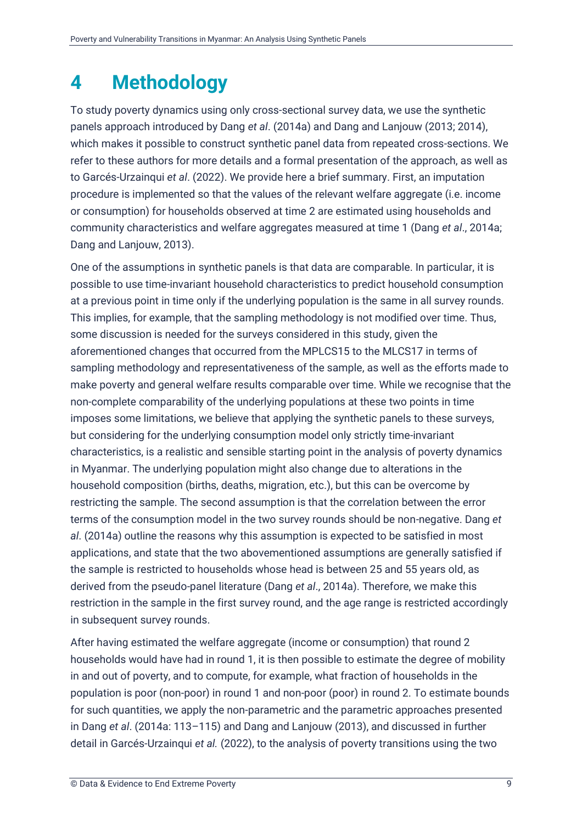### <span id="page-12-0"></span>**4 Methodology**

To study poverty dynamics using only cross-sectional survey data, we use the synthetic panels approach introduced by Dang *et al*. (2014a) and Dang and Lanjouw (2013; 2014), which makes it possible to construct synthetic panel data from repeated cross-sections. We refer to these authors for more details and a formal presentation of the approach, as well as to Garcés-Urzainqui *et al*. (2022). We provide here a brief summary. First, an imputation procedure is implemented so that the values of the relevant welfare aggregate (i.e. income or consumption) for households observed at time 2 are estimated using households and community characteristics and welfare aggregates measured at time 1 (Dang *et al*., 2014a; Dang and Lanjouw, 2013).

One of the assumptions in synthetic panels is that data are comparable. In particular, it is possible to use time-invariant household characteristics to predict household consumption at a previous point in time only if the underlying population is the same in all survey rounds. This implies, for example, that the sampling methodology is not modified over time. Thus, some discussion is needed for the surveys considered in this study, given the aforementioned changes that occurred from the MPLCS15 to the MLCS17 in terms of sampling methodology and representativeness of the sample, as well as the efforts made to make poverty and general welfare results comparable over time. While we recognise that the non-complete comparability of the underlying populations at these two points in time imposes some limitations, we believe that applying the synthetic panels to these surveys, but considering for the underlying consumption model only strictly time-invariant characteristics, is a realistic and sensible starting point in the analysis of poverty dynamics in Myanmar. The underlying population might also change due to alterations in the household composition (births, deaths, migration, etc.), but this can be overcome by restricting the sample. The second assumption is that the correlation between the error terms of the consumption model in the two survey rounds should be non-negative. Dang *et al*. (2014a) outline the reasons why this assumption is expected to be satisfied in most applications, and state that the two abovementioned assumptions are generally satisfied if the sample is restricted to households whose head is between 25 and 55 years old, as derived from the pseudo-panel literature (Dang *et al*., 2014a). Therefore, we make this restriction in the sample in the first survey round, and the age range is restricted accordingly in subsequent survey rounds.

After having estimated the welfare aggregate (income or consumption) that round 2 households would have had in round 1, it is then possible to estimate the degree of mobility in and out of poverty, and to compute, for example, what fraction of households in the population is poor (non-poor) in round 1 and non-poor (poor) in round 2. To estimate bounds for such quantities, we apply the non-parametric and the parametric approaches presented in Dang *et al*. (2014a: 113–115) and Dang and Lanjouw (2013), and discussed in further detail in Garcés-Urzainqui *et al.* (2022), to the analysis of poverty transitions using the two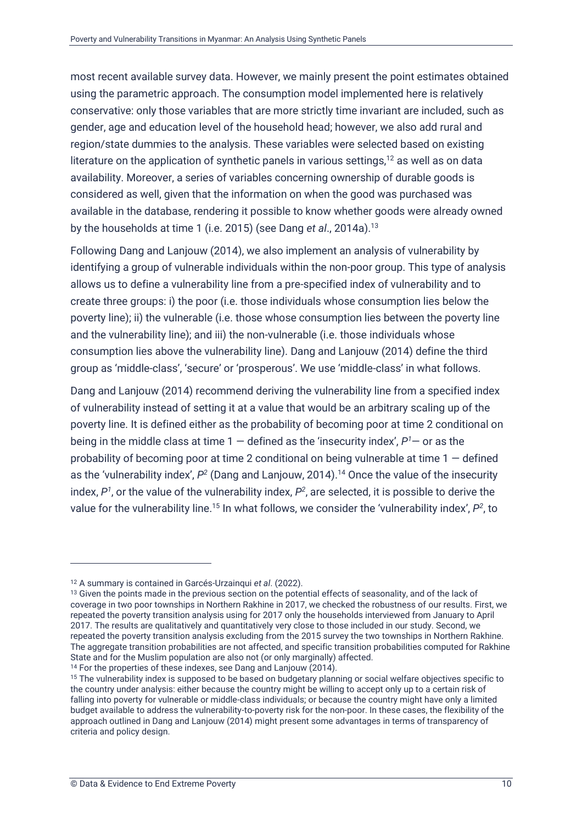most recent available survey data. However, we mainly present the point estimates obtained using the parametric approach. The consumption model implemented here is relatively conservative: only those variables that are more strictly time invariant are included, such as gender, age and education level of the household head; however, we also add rural and region/state dummies to the analysis. These variables were selected based on existing literature on the application of synthetic panels in various settings, $12$  as well as on data availability. Moreover, a series of variables concerning ownership of durable goods is considered as well, given that the information on when the good was purchased was available in the database, rendering it possible to know whether goods were already owned by the households at time 1 (i.e. 2015) (see Dang *et al*., 2014a).<sup>13</sup>

Following Dang and Lanjouw (2014), we also implement an analysis of vulnerability by identifying a group of vulnerable individuals within the non-poor group. This type of analysis allows us to define a vulnerability line from a pre-specified index of vulnerability and to create three groups: i) the poor (i.e. those individuals whose consumption lies below the poverty line); ii) the vulnerable (i.e. those whose consumption lies between the poverty line and the vulnerability line); and iii) the non-vulnerable (i.e. those individuals whose consumption lies above the vulnerability line). Dang and Lanjouw (2014) define the third group as 'middle-class', 'secure' or 'prosperous'. We use 'middle-class' in what follows.

Dang and Lanjouw (2014) recommend deriving the vulnerability line from a specified index of vulnerability instead of setting it at a value that would be an arbitrary scaling up of the poverty line. It is defined either as the probability of becoming poor at time 2 conditional on being in the middle class at time 1 — defined as the 'insecurity index', *P <sup>1</sup>*— or as the probability of becoming poor at time 2 conditional on being vulnerable at time  $1 -$  defined as the 'vulnerability index',  $P^2$  (Dang and Lanjouw, 2014).<sup>14</sup> Once the value of the insecurity index,  $P^{\text{\tiny\it 1}}$ , or the value of the vulnerability index,  $P^{\text{\tiny\it 2}}$ , are selected, it is possible to derive the value for the vulnerability line.<sup>15</sup> In what follows, we consider the 'vulnerability index', P<sup>2</sup>, to

<sup>12</sup> A summary is contained in Garcés-Urzainqui *et al*. (2022).

<sup>&</sup>lt;sup>13</sup> Given the points made in the previous section on the potential effects of seasonality, and of the lack of coverage in two poor townships in Northern Rakhine in 2017, we checked the robustness of our results. First, we repeated the poverty transition analysis using for 2017 only the households interviewed from January to April 2017. The results are qualitatively and quantitatively very close to those included in our study. Second, we repeated the poverty transition analysis excluding from the 2015 survey the two townships in Northern Rakhine. The aggregate transition probabilities are not affected, and specific transition probabilities computed for Rakhine State and for the Muslim population are also not (or only marginally) affected.

<sup>&</sup>lt;sup>14</sup> For the properties of these indexes, see Dang and Lanjouw (2014).

<sup>&</sup>lt;sup>15</sup> The vulnerability index is supposed to be based on budgetary planning or social welfare objectives specific to the country under analysis: either because the country might be willing to accept only up to a certain risk of falling into poverty for vulnerable or middle-class individuals; or because the country might have only a limited budget available to address the vulnerability-to-poverty risk for the non-poor. In these cases, the flexibility of the approach outlined in Dang and Lanjouw (2014) might present some advantages in terms of transparency of criteria and policy design.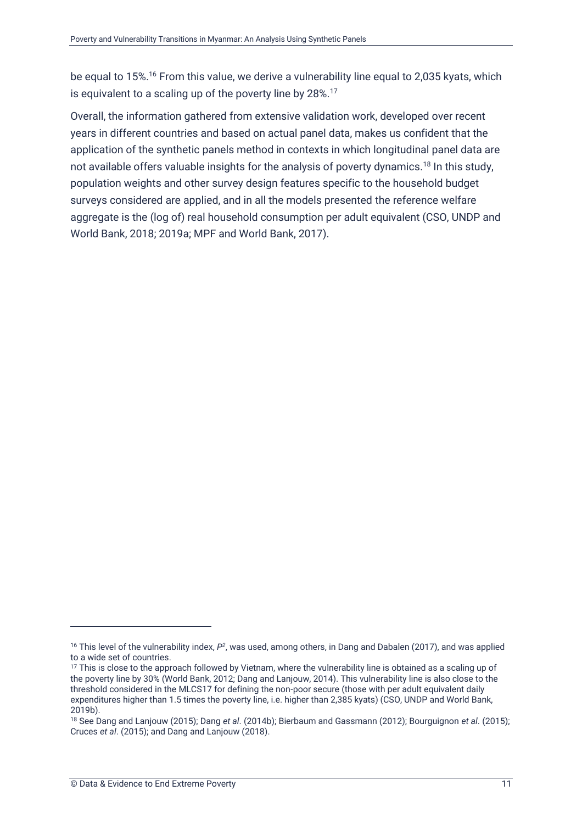be equal to 15%.<sup>16</sup> From this value, we derive a vulnerability line equal to 2,035 kyats, which is equivalent to a scaling up of the poverty line by 28%.<sup>17</sup>

Overall, the information gathered from extensive validation work, developed over recent years in different countries and based on actual panel data, makes us confident that the application of the synthetic panels method in contexts in which longitudinal panel data are not available offers valuable insights for the analysis of poverty dynamics.<sup>18</sup> In this study, population weights and other survey design features specific to the household budget surveys considered are applied, and in all the models presented the reference welfare aggregate is the (log of) real household consumption per adult equivalent (CSO, UNDP and World Bank, 2018; 2019a; MPF and World Bank, 2017).

<sup>&</sup>lt;sup>16</sup> This level of the vulnerability index,  $P^2$ , was used, among others, in Dang and Dabalen (2017), and was applied to a wide set of countries.

<sup>&</sup>lt;sup>17</sup> This is close to the approach followed by Vietnam, where the vulnerability line is obtained as a scaling up of the poverty line by 30% (World Bank, 2012; Dang and Lanjouw, 2014). This vulnerability line is also close to the threshold considered in the MLCS17 for defining the non-poor secure (those with per adult equivalent daily expenditures higher than 1.5 times the poverty line, i.e. higher than 2,385 kyats) (CSO, UNDP and World Bank, 2019b).

<sup>18</sup> See Dang and Lanjouw (2015); Dang *et al*. (2014b); Bierbaum and Gassmann (2012); Bourguignon *et al*. (2015); Cruces *et al*. (2015); and Dang and Lanjouw (2018).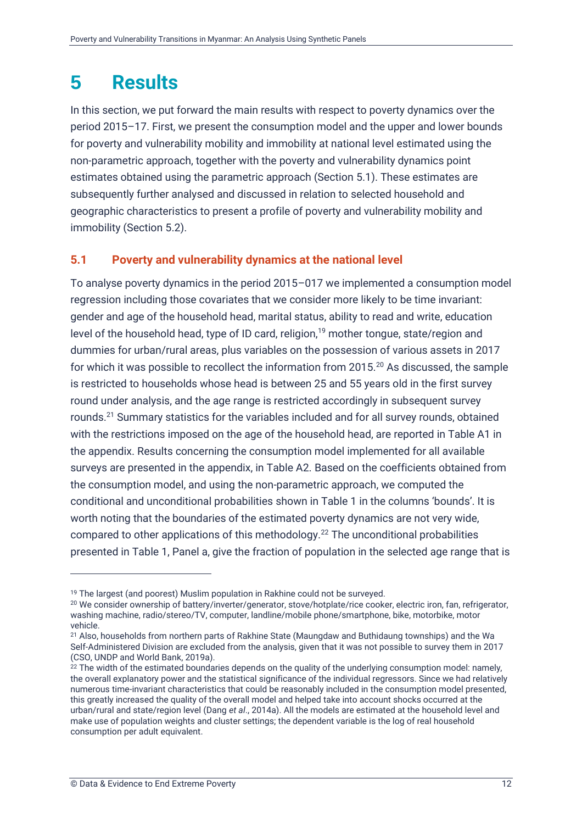### <span id="page-15-0"></span>**5 Results**

In this section, we put forward the main results with respect to poverty dynamics over the period 2015–17. First, we present the consumption model and the upper and lower bounds for poverty and vulnerability mobility and immobility at national level estimated using the non-parametric approach, together with the poverty and vulnerability dynamics point estimates obtained using the parametric approach (Section [5.1\)](#page-15-1). These estimates are subsequently further analysed and discussed in relation to selected household and geographic characteristics to present a profile of poverty and vulnerability mobility and immobility (Section [5.2\)](#page-17-0).

#### <span id="page-15-1"></span>**5.1 Poverty and vulnerability dynamics at the national level**

To analyse poverty dynamics in the period 2015–017 we implemented a consumption model regression including those covariates that we consider more likely to be time invariant: gender and age of the household head, marital status, ability to read and write, education level of the household head, type of ID card, religion,<sup>19</sup> mother tongue, state/region and dummies for urban/rural areas, plus variables on the possession of various assets in 2017 for which it was possible to recollect the information from 2015.<sup>20</sup> As discussed, the sample is restricted to households whose head is between 25 and 55 years old in the first survey round under analysis, and the age range is restricted accordingly in subsequent survey rounds.<sup>21</sup> Summary statistics for the variables included and for all survey rounds, obtained with the restrictions imposed on the age of the household head, are reported in Table A1 in the appendix. Results concerning the consumption model implemented for all available surveys are presented in the appendix, in Table A2. Based on the coefficients obtained from the consumption model, and using the non-parametric approach, we computed the conditional and unconditional probabilities shown in Table 1 in the columns 'bounds'. It is worth noting that the boundaries of the estimated poverty dynamics are not very wide, compared to other applications of this methodology.<sup>22</sup> The unconditional probabilities presented in Table 1, Panel a, give the fraction of population in the selected age range that is

<sup>&</sup>lt;sup>19</sup> The largest (and poorest) Muslim population in Rakhine could not be surveyed.

<sup>20</sup> We consider ownership of battery/inverter/generator, stove/hotplate/rice cooker, electric iron, fan, refrigerator, washing machine, radio/stereo/TV, computer, landline/mobile phone/smartphone, bike, motorbike, motor vehicle.

<sup>21</sup> Also, households from northern parts of Rakhine State (Maungdaw and Buthidaung townships) and the Wa Self-Administered Division are excluded from the analysis, given that it was not possible to survey them in 2017 (CSO, UNDP and World Bank, 2019a).

<sup>&</sup>lt;sup>22</sup> The width of the estimated boundaries depends on the quality of the underlying consumption model: namely, the overall explanatory power and the statistical significance of the individual regressors. Since we had relatively numerous time-invariant characteristics that could be reasonably included in the consumption model presented, this greatly increased the quality of the overall model and helped take into account shocks occurred at the urban/rural and state/region level (Dang *et al*., 2014a). All the models are estimated at the household level and make use of population weights and cluster settings; the dependent variable is the log of real household consumption per adult equivalent.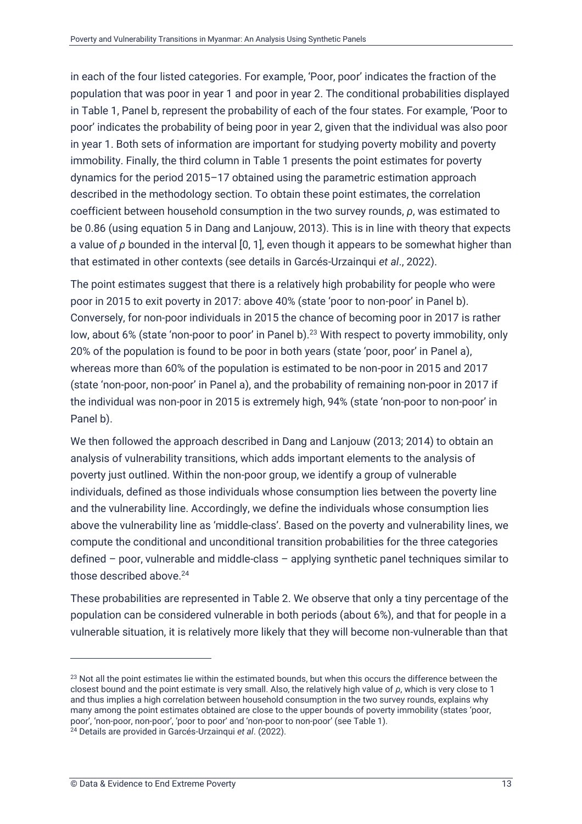in each of the four listed categories. For example, 'Poor, poor' indicates the fraction of the population that was poor in year 1 and poor in year 2. The conditional probabilities displayed in Table 1, Panel b, represent the probability of each of the four states. For example, 'Poor to poor' indicates the probability of being poor in year 2, given that the individual was also poor in year 1. Both sets of information are important for studying poverty mobility and poverty immobility. Finally, the third column in Table 1 presents the point estimates for poverty dynamics for the period 2015–17 obtained using the parametric estimation approach described in the methodology section. To obtain these point estimates, the correlation coefficient between household consumption in the two survey rounds, *ρ*, was estimated to be 0.86 (using equation 5 in Dang and Lanjouw, 2013). This is in line with theory that expects a value of *ρ* bounded in the interval [0, 1], even though it appears to be somewhat higher than that estimated in other contexts (see details in Garcés-Urzainqui *et al*., 2022).

The point estimates suggest that there is a relatively high probability for people who were poor in 2015 to exit poverty in 2017: above 40% (state 'poor to non-poor' in Panel b). Conversely, for non-poor individuals in 2015 the chance of becoming poor in 2017 is rather low, about 6% (state 'non-poor to poor' in Panel b).<sup>23</sup> With respect to poverty immobility, only 20% of the population is found to be poor in both years (state 'poor, poor' in Panel a), whereas more than 60% of the population is estimated to be non-poor in 2015 and 2017 (state 'non-poor, non-poor' in Panel a), and the probability of remaining non-poor in 2017 if the individual was non-poor in 2015 is extremely high, 94% (state 'non-poor to non-poor' in Panel b).

We then followed the approach described in Dang and Lanjouw (2013; 2014) to obtain an analysis of vulnerability transitions, which adds important elements to the analysis of poverty just outlined. Within the non-poor group, we identify a group of vulnerable individuals, defined as those individuals whose consumption lies between the poverty line and the vulnerability line. Accordingly, we define the individuals whose consumption lies above the vulnerability line as 'middle-class'. Based on the poverty and vulnerability lines, we compute the conditional and unconditional transition probabilities for the three categories defined – poor, vulnerable and middle-class – applying synthetic panel techniques similar to those described above.<sup>24</sup>

These probabilities are represented in Table 2. We observe that only a tiny percentage of the population can be considered vulnerable in both periods (about 6%), and that for people in a vulnerable situation, it is relatively more likely that they will become non-vulnerable than that

<sup>&</sup>lt;sup>23</sup> Not all the point estimates lie within the estimated bounds, but when this occurs the difference between the closest bound and the point estimate is very small. Also, the relatively high value of *ρ*, which is very close to 1 and thus implies a high correlation between household consumption in the two survey rounds, explains why many among the point estimates obtained are close to the upper bounds of poverty immobility (states 'poor, poor', 'non-poor, non-poor', 'poor to poor' and 'non-poor to non-poor' (see Table 1).

<sup>24</sup> Details are provided in Garcés-Urzainqui *et al*. (2022).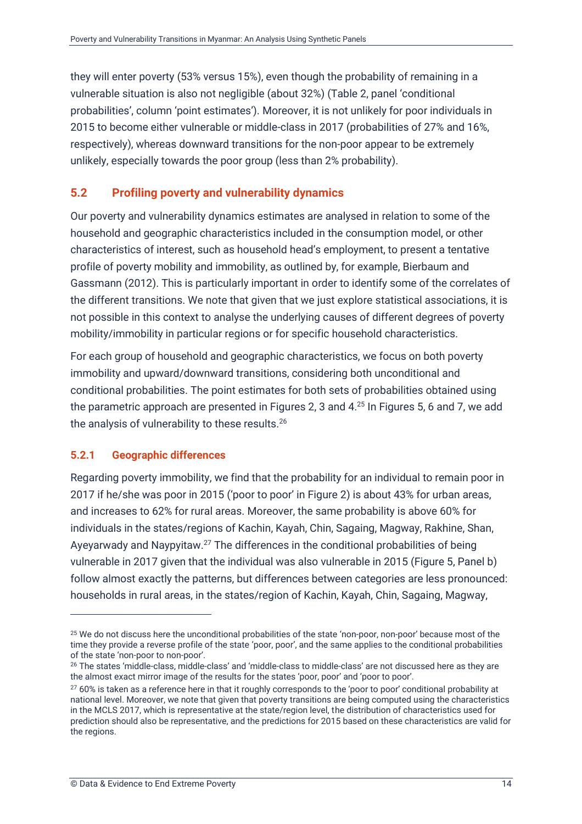they will enter poverty (53% versus 15%), even though the probability of remaining in a vulnerable situation is also not negligible (about 32%) (Table 2, panel 'conditional probabilities', column 'point estimates'). Moreover, it is not unlikely for poor individuals in 2015 to become either vulnerable or middle-class in 2017 (probabilities of 27% and 16%, respectively), whereas downward transitions for the non-poor appear to be extremely unlikely, especially towards the poor group (less than 2% probability).

#### <span id="page-17-0"></span>**5.2 Profiling poverty and vulnerability dynamics**

Our poverty and vulnerability dynamics estimates are analysed in relation to some of the household and geographic characteristics included in the consumption model, or other characteristics of interest, such as household head's employment, to present a tentative profile of poverty mobility and immobility, as outlined by, for example, Bierbaum and Gassmann (2012). This is particularly important in order to identify some of the correlates of the different transitions. We note that given that we just explore statistical associations, it is not possible in this context to analyse the underlying causes of different degrees of poverty mobility/immobility in particular regions or for specific household characteristics.

For each group of household and geographic characteristics, we focus on both poverty immobility and upward/downward transitions, considering both unconditional and conditional probabilities. The point estimates for both sets of probabilities obtained using the parametric approach are presented in Figures 2, 3 and 4.<sup>25</sup> In Figures 5, 6 and 7, we add the analysis of vulnerability to these results.<sup>26</sup>

#### **5.2.1 Geographic differences**

Regarding poverty immobility, we find that the probability for an individual to remain poor in 2017 if he/she was poor in 2015 ('poor to poor' in Figure 2) is about 43% for urban areas, and increases to 62% for rural areas. Moreover, the same probability is above 60% for individuals in the states/regions of Kachin, Kayah, Chin, Sagaing, Magway, Rakhine, Shan, Ayeyarwady and Naypyitaw.<sup>27</sup> The differences in the conditional probabilities of being vulnerable in 2017 given that the individual was also vulnerable in 2015 (Figure 5, Panel b) follow almost exactly the patterns, but differences between categories are less pronounced: households in rural areas, in the states/region of Kachin, Kayah, Chin, Sagaing, Magway,

<sup>&</sup>lt;sup>25</sup> We do not discuss here the unconditional probabilities of the state 'non-poor, non-poor' because most of the time they provide a reverse profile of the state 'poor, poor', and the same applies to the conditional probabilities of the state 'non-poor to non-poor'.

<sup>26</sup> The states 'middle-class, middle-class' and 'middle-class to middle-class' are not discussed here as they are the almost exact mirror image of the results for the states 'poor, poor' and 'poor to poor'.

<sup>&</sup>lt;sup>27</sup> 60% is taken as a reference here in that it roughly corresponds to the 'poor to poor' conditional probability at national level. Moreover, we note that given that poverty transitions are being computed using the characteristics in the MCLS 2017, which is representative at the state/region level, the distribution of characteristics used for prediction should also be representative, and the predictions for 2015 based on these characteristics are valid for the regions.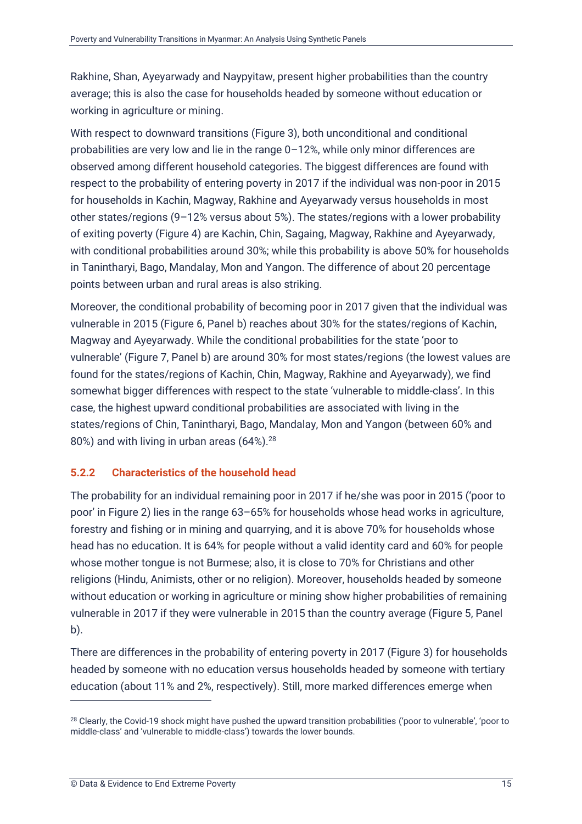Rakhine, Shan, Ayeyarwady and Naypyitaw, present higher probabilities than the country average; this is also the case for households headed by someone without education or working in agriculture or mining.

With respect to downward transitions (Figure 3), both unconditional and conditional probabilities are very low and lie in the range 0–12%, while only minor differences are observed among different household categories. The biggest differences are found with respect to the probability of entering poverty in 2017 if the individual was non-poor in 2015 for households in Kachin, Magway, Rakhine and Ayeyarwady versus households in most other states/regions (9–12% versus about 5%). The states/regions with a lower probability of exiting poverty (Figure 4) are Kachin, Chin, Sagaing, Magway, Rakhine and Ayeyarwady, with conditional probabilities around 30%; while this probability is above 50% for households in Tanintharyi, Bago, Mandalay, Mon and Yangon. The difference of about 20 percentage points between urban and rural areas is also striking.

Moreover, the conditional probability of becoming poor in 2017 given that the individual was vulnerable in 2015 (Figure 6, Panel b) reaches about 30% for the states/regions of Kachin, Magway and Ayeyarwady. While the conditional probabilities for the state 'poor to vulnerable' (Figure 7, Panel b) are around 30% for most states/regions (the lowest values are found for the states/regions of Kachin, Chin, Magway, Rakhine and Ayeyarwady), we find somewhat bigger differences with respect to the state 'vulnerable to middle-class'. In this case, the highest upward conditional probabilities are associated with living in the states/regions of Chin, Tanintharyi, Bago, Mandalay, Mon and Yangon (between 60% and 80%) and with living in urban areas (64%).<sup>28</sup>

#### **5.2.2 Characteristics of the household head**

The probability for an individual remaining poor in 2017 if he/she was poor in 2015 ('poor to poor' in Figure 2) lies in the range 63–65% for households whose head works in agriculture, forestry and fishing or in mining and quarrying, and it is above 70% for households whose head has no education. It is 64% for people without a valid identity card and 60% for people whose mother tongue is not Burmese; also, it is close to 70% for Christians and other religions (Hindu, Animists, other or no religion). Moreover, households headed by someone without education or working in agriculture or mining show higher probabilities of remaining vulnerable in 2017 if they were vulnerable in 2015 than the country average (Figure 5, Panel b).

There are differences in the probability of entering poverty in 2017 (Figure 3) for households headed by someone with no education versus households headed by someone with tertiary education (about 11% and 2%, respectively). Still, more marked differences emerge when

<sup>&</sup>lt;sup>28</sup> Clearly, the Covid-19 shock might have pushed the upward transition probabilities ('poor to vulnerable', 'poor to middle-class' and 'vulnerable to middle-class') towards the lower bounds.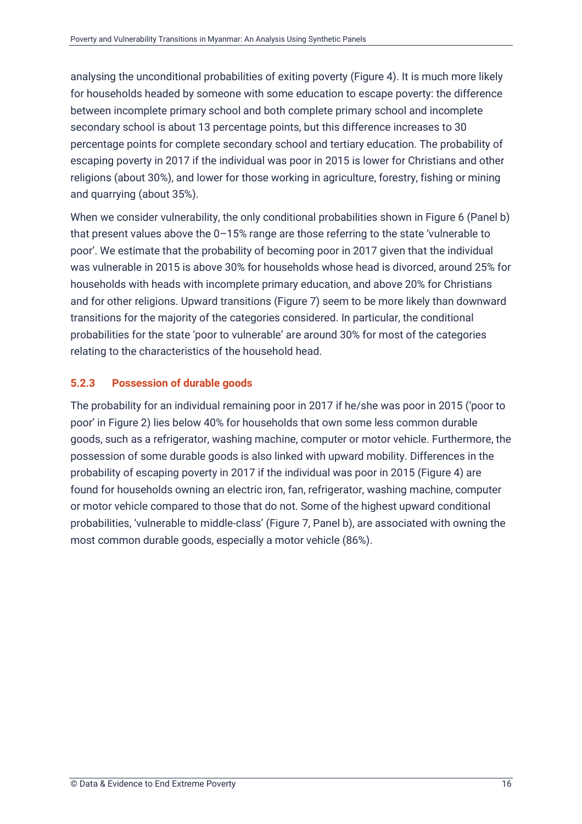analysing the unconditional probabilities of exiting poverty (Figure 4). It is much more likely for households headed by someone with some education to escape poverty: the difference between incomplete primary school and both complete primary school and incomplete secondary school is about 13 percentage points, but this difference increases to 30 percentage points for complete secondary school and tertiary education. The probability of escaping poverty in 2017 if the individual was poor in 2015 is lower for Christians and other religions (about 30%), and lower for those working in agriculture, forestry, fishing or mining and quarrying (about 35%).

When we consider vulnerability, the only conditional probabilities shown in Figure 6 (Panel b) that present values above the 0–15% range are those referring to the state 'vulnerable to poor'. We estimate that the probability of becoming poor in 2017 given that the individual was vulnerable in 2015 is above 30% for households whose head is divorced, around 25% for households with heads with incomplete primary education, and above 20% for Christians and for other religions. Upward transitions (Figure 7) seem to be more likely than downward transitions for the majority of the categories considered. In particular, the conditional probabilities for the state 'poor to vulnerable' are around 30% for most of the categories relating to the characteristics of the household head.

#### **5.2.3 Possession of durable goods**

The probability for an individual remaining poor in 2017 if he/she was poor in 2015 ('poor to poor' in Figure 2) lies below 40% for households that own some less common durable goods, such as a refrigerator, washing machine, computer or motor vehicle. Furthermore, the possession of some durable goods is also linked with upward mobility. Differences in the probability of escaping poverty in 2017 if the individual was poor in 2015 (Figure 4) are found for households owning an electric iron, fan, refrigerator, washing machine, computer or motor vehicle compared to those that do not. Some of the highest upward conditional probabilities, 'vulnerable to middle-class' (Figure 7, Panel b), are associated with owning the most common durable goods, especially a motor vehicle (86%).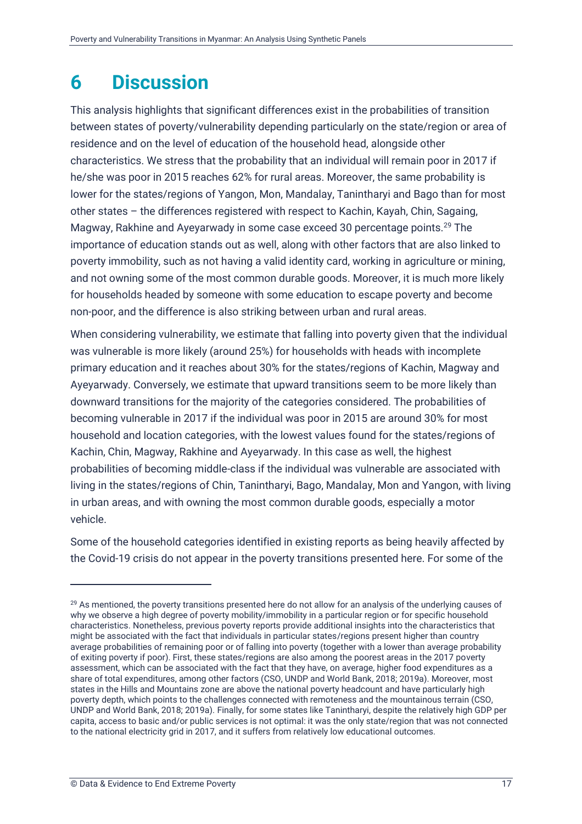### <span id="page-20-0"></span>**6 Discussion**

This analysis highlights that significant differences exist in the probabilities of transition between states of poverty/vulnerability depending particularly on the state/region or area of residence and on the level of education of the household head, alongside other characteristics. We stress that the probability that an individual will remain poor in 2017 if he/she was poor in 2015 reaches 62% for rural areas. Moreover, the same probability is lower for the states/regions of Yangon, Mon, Mandalay, Tanintharyi and Bago than for most other states – the differences registered with respect to Kachin, Kayah, Chin, Sagaing, Magway, Rakhine and Ayeyarwady in some case exceed 30 percentage points.<sup>29</sup> The importance of education stands out as well, along with other factors that are also linked to poverty immobility, such as not having a valid identity card, working in agriculture or mining, and not owning some of the most common durable goods. Moreover, it is much more likely for households headed by someone with some education to escape poverty and become non-poor, and the difference is also striking between urban and rural areas.

When considering vulnerability, we estimate that falling into poverty given that the individual was vulnerable is more likely (around 25%) for households with heads with incomplete primary education and it reaches about 30% for the states/regions of Kachin, Magway and Ayeyarwady. Conversely, we estimate that upward transitions seem to be more likely than downward transitions for the majority of the categories considered. The probabilities of becoming vulnerable in 2017 if the individual was poor in 2015 are around 30% for most household and location categories, with the lowest values found for the states/regions of Kachin, Chin, Magway, Rakhine and Ayeyarwady. In this case as well, the highest probabilities of becoming middle-class if the individual was vulnerable are associated with living in the states/regions of Chin, Tanintharyi, Bago, Mandalay, Mon and Yangon, with living in urban areas, and with owning the most common durable goods, especially a motor vehicle.

Some of the household categories identified in existing reports as being heavily affected by the Covid-19 crisis do not appear in the poverty transitions presented here. For some of the

<sup>&</sup>lt;sup>29</sup> As mentioned, the poverty transitions presented here do not allow for an analysis of the underlying causes of why we observe a high degree of poverty mobility/immobility in a particular region or for specific household characteristics. Nonetheless, previous poverty reports provide additional insights into the characteristics that might be associated with the fact that individuals in particular states/regions present higher than country average probabilities of remaining poor or of falling into poverty (together with a lower than average probability of exiting poverty if poor). First, these states/regions are also among the poorest areas in the 2017 poverty assessment, which can be associated with the fact that they have, on average, higher food expenditures as a share of total expenditures, among other factors (CSO, UNDP and World Bank, 2018; 2019a). Moreover, most states in the Hills and Mountains zone are above the national poverty headcount and have particularly high poverty depth, which points to the challenges connected with remoteness and the mountainous terrain (CSO, UNDP and World Bank, 2018; 2019a). Finally, for some states like Tanintharyi, despite the relatively high GDP per capita, access to basic and/or public services is not optimal: it was the only state/region that was not connected to the national electricity grid in 2017, and it suffers from relatively low educational outcomes.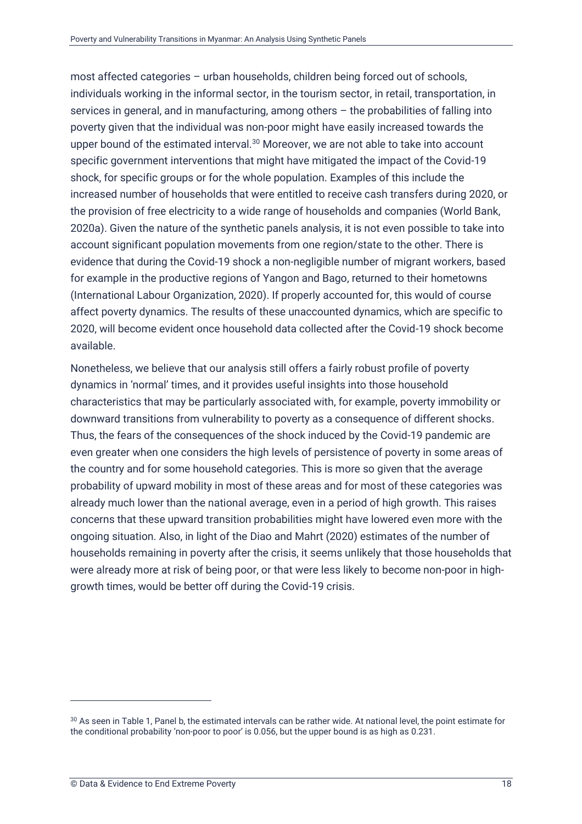most affected categories – urban households, children being forced out of schools, individuals working in the informal sector, in the tourism sector, in retail, transportation, in services in general, and in manufacturing, among others – the probabilities of falling into poverty given that the individual was non-poor might have easily increased towards the upper bound of the estimated interval.<sup>30</sup> Moreover, we are not able to take into account specific government interventions that might have mitigated the impact of the Covid-19 shock, for specific groups or for the whole population. Examples of this include the increased number of households that were entitled to receive cash transfers during 2020, or the provision of free electricity to a wide range of households and companies (World Bank, 2020a). Given the nature of the synthetic panels analysis, it is not even possible to take into account significant population movements from one region/state to the other. There is evidence that during the Covid-19 shock a non-negligible number of migrant workers, based for example in the productive regions of Yangon and Bago, returned to their hometowns (International Labour Organization, 2020). If properly accounted for, this would of course affect poverty dynamics. The results of these unaccounted dynamics, which are specific to 2020, will become evident once household data collected after the Covid-19 shock become available.

Nonetheless, we believe that our analysis still offers a fairly robust profile of poverty dynamics in 'normal' times, and it provides useful insights into those household characteristics that may be particularly associated with, for example, poverty immobility or downward transitions from vulnerability to poverty as a consequence of different shocks. Thus, the fears of the consequences of the shock induced by the Covid-19 pandemic are even greater when one considers the high levels of persistence of poverty in some areas of the country and for some household categories. This is more so given that the average probability of upward mobility in most of these areas and for most of these categories was already much lower than the national average, even in a period of high growth. This raises concerns that these upward transition probabilities might have lowered even more with the ongoing situation. Also, in light of the Diao and Mahrt (2020) estimates of the number of households remaining in poverty after the crisis, it seems unlikely that those households that were already more at risk of being poor, or that were less likely to become non-poor in highgrowth times, would be better off during the Covid-19 crisis.

<sup>30</sup> As seen in Table 1, Panel b, the estimated intervals can be rather wide. At national level, the point estimate for the conditional probability 'non-poor to poor' is 0.056, but the upper bound is as high as 0.231.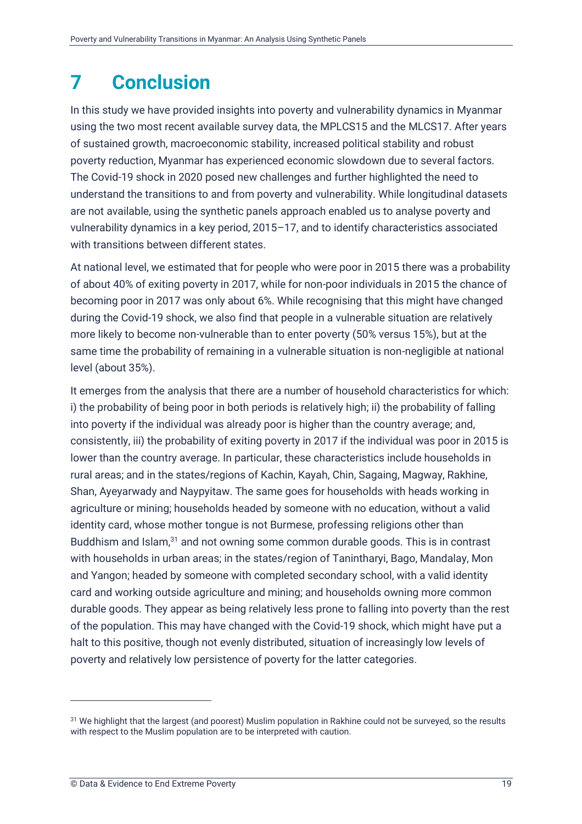### <span id="page-22-0"></span>**7 Conclusion**

In this study we have provided insights into poverty and vulnerability dynamics in Myanmar using the two most recent available survey data, the MPLCS15 and the MLCS17. After years of sustained growth, macroeconomic stability, increased political stability and robust poverty reduction, Myanmar has experienced economic slowdown due to several factors. The Covid-19 shock in 2020 posed new challenges and further highlighted the need to understand the transitions to and from poverty and vulnerability. While longitudinal datasets are not available, using the synthetic panels approach enabled us to analyse poverty and vulnerability dynamics in a key period, 2015–17, and to identify characteristics associated with transitions between different states.

At national level, we estimated that for people who were poor in 2015 there was a probability of about 40% of exiting poverty in 2017, while for non-poor individuals in 2015 the chance of becoming poor in 2017 was only about 6%. While recognising that this might have changed during the Covid-19 shock, we also find that people in a vulnerable situation are relatively more likely to become non-vulnerable than to enter poverty (50% versus 15%), but at the same time the probability of remaining in a vulnerable situation is non-negligible at national level (about 35%).

It emerges from the analysis that there are a number of household characteristics for which: i) the probability of being poor in both periods is relatively high; ii) the probability of falling into poverty if the individual was already poor is higher than the country average; and, consistently, iii) the probability of exiting poverty in 2017 if the individual was poor in 2015 is lower than the country average. In particular, these characteristics include households in rural areas; and in the states/regions of Kachin, Kayah, Chin, Sagaing, Magway, Rakhine, Shan, Ayeyarwady and Naypyitaw. The same goes for households with heads working in agriculture or mining; households headed by someone with no education, without a valid identity card, whose mother tongue is not Burmese, professing religions other than Buddhism and Islam,<sup>31</sup> and not owning some common durable goods. This is in contrast with households in urban areas; in the states/region of Tanintharyi, Bago, Mandalay, Mon and Yangon; headed by someone with completed secondary school, with a valid identity card and working outside agriculture and mining; and households owning more common durable goods. They appear as being relatively less prone to falling into poverty than the rest of the population. This may have changed with the Covid-19 shock, which might have put a halt to this positive, though not evenly distributed, situation of increasingly low levels of poverty and relatively low persistence of poverty for the latter categories.

<sup>&</sup>lt;sup>31</sup> We highlight that the largest (and poorest) Muslim population in Rakhine could not be surveyed, so the results with respect to the Muslim population are to be interpreted with caution.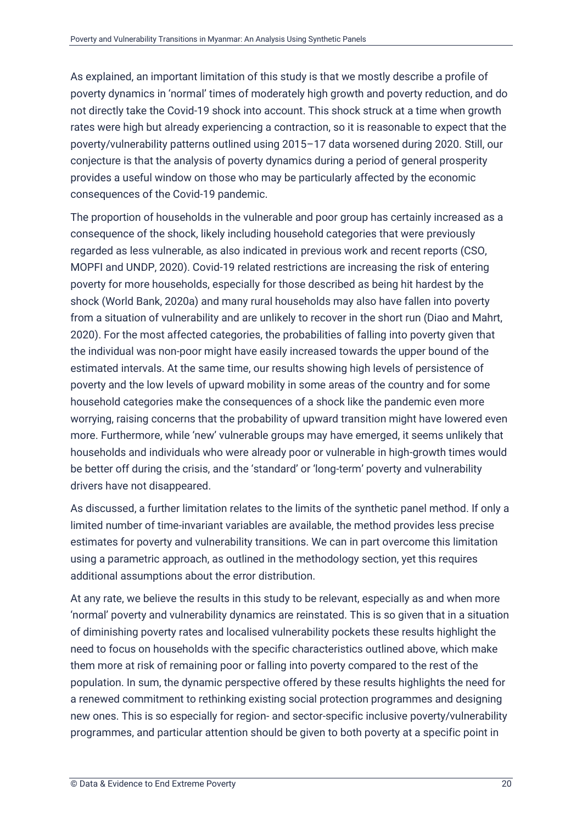As explained, an important limitation of this study is that we mostly describe a profile of poverty dynamics in 'normal' times of moderately high growth and poverty reduction, and do not directly take the Covid-19 shock into account. This shock struck at a time when growth rates were high but already experiencing a contraction, so it is reasonable to expect that the poverty/vulnerability patterns outlined using 2015–17 data worsened during 2020. Still, our conjecture is that the analysis of poverty dynamics during a period of general prosperity provides a useful window on those who may be particularly affected by the economic consequences of the Covid-19 pandemic.

The proportion of households in the vulnerable and poor group has certainly increased as a consequence of the shock, likely including household categories that were previously regarded as less vulnerable, as also indicated in previous work and recent reports (CSO, MOPFI and UNDP, 2020). Covid-19 related restrictions are increasing the risk of entering poverty for more households, especially for those described as being hit hardest by the shock (World Bank, 2020a) and many rural households may also have fallen into poverty from a situation of vulnerability and are unlikely to recover in the short run (Diao and Mahrt, 2020). For the most affected categories, the probabilities of falling into poverty given that the individual was non-poor might have easily increased towards the upper bound of the estimated intervals. At the same time, our results showing high levels of persistence of poverty and the low levels of upward mobility in some areas of the country and for some household categories make the consequences of a shock like the pandemic even more worrying, raising concerns that the probability of upward transition might have lowered even more. Furthermore, while 'new' vulnerable groups may have emerged, it seems unlikely that households and individuals who were already poor or vulnerable in high-growth times would be better off during the crisis, and the 'standard' or 'long-term' poverty and vulnerability drivers have not disappeared.

As discussed, a further limitation relates to the limits of the synthetic panel method. If only a limited number of time-invariant variables are available, the method provides less precise estimates for poverty and vulnerability transitions. We can in part overcome this limitation using a parametric approach, as outlined in the methodology section, yet this requires additional assumptions about the error distribution.

At any rate, we believe the results in this study to be relevant, especially as and when more 'normal' poverty and vulnerability dynamics are reinstated. This is so given that in a situation of diminishing poverty rates and localised vulnerability pockets these results highlight the need to focus on households with the specific characteristics outlined above, which make them more at risk of remaining poor or falling into poverty compared to the rest of the population. In sum, the dynamic perspective offered by these results highlights the need for a renewed commitment to rethinking existing social protection programmes and designing new ones. This is so especially for region- and sector-specific inclusive poverty/vulnerability programmes, and particular attention should be given to both poverty at a specific point in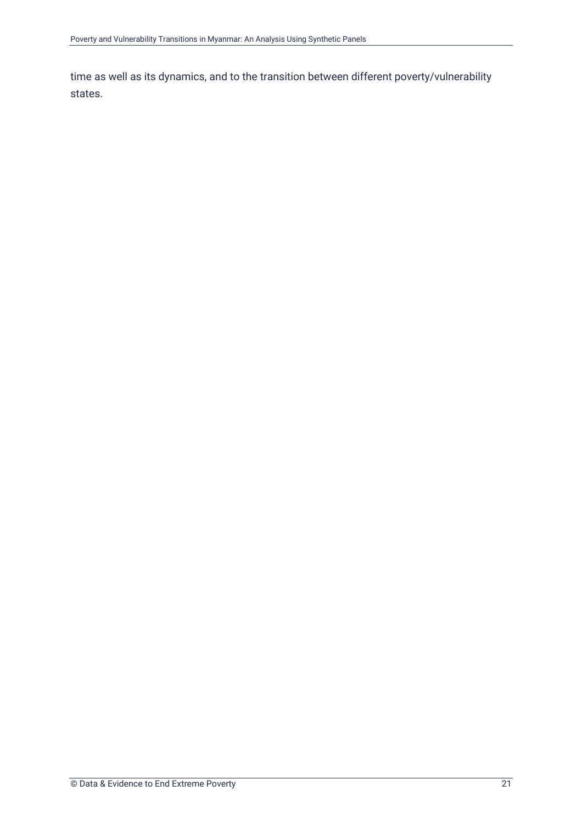time as well as its dynamics, and to the transition between different poverty/vulnerability states.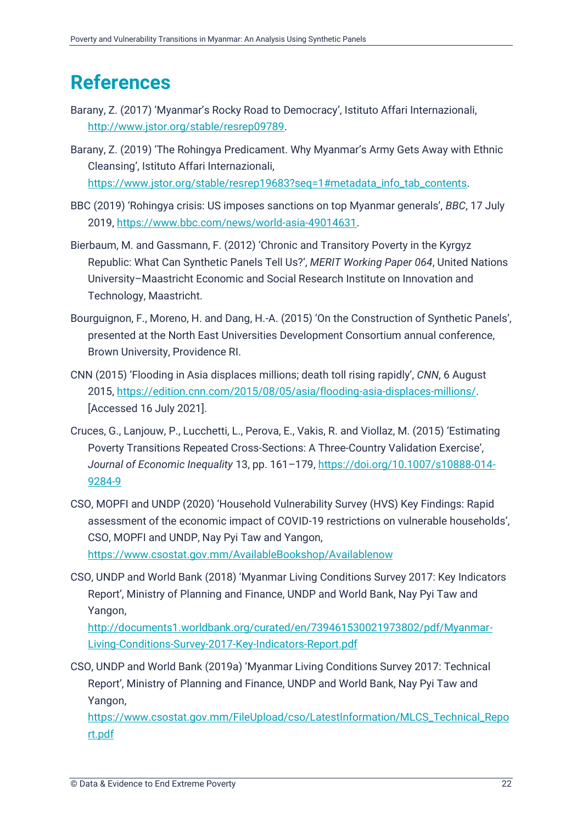### <span id="page-25-0"></span>**References**

- Barany, Z. (2017) 'Myanmar's Rocky Road to Democracy', Istituto Affari Internazionali, [http://www.jstor.org/stable/resrep09789.](http://www.jstor.org/stable/resrep09789)
- Barany, Z. (2019) 'The Rohingya Predicament. Why Myanmar's Army Gets Away with Ethnic Cleansing', Istituto Affari Internazionali, [https://www.jstor.org/stable/resrep19683?seq=1#metadata\\_info\\_tab\\_contents.](https://www.jstor.org/stable/resrep19683?seq=1#metadata_info_tab_contents)
- BBC (2019) 'Rohingya crisis: US imposes sanctions on top Myanmar generals', *BBC*, 17 July 2019, [https://www.bbc.com/news/world-asia-49014631.](https://www.bbc.com/news/world-asia-49014631)
- Bierbaum, M. and Gassmann, F. (2012) 'Chronic and Transitory Poverty in the Kyrgyz Republic: What Can Synthetic Panels Tell Us?', *MERIT Working Paper 064*, United Nations University–Maastricht Economic and Social Research Institute on Innovation and Technology, Maastricht.
- Bourguignon, F., Moreno, H. and Dang, H.-A. (2015) 'On the Construction of Synthetic Panels', presented at the North East Universities Development Consortium annual conference, Brown University, Providence RI.
- CNN (2015) 'Flooding in Asia displaces millions; death toll rising rapidly', *CNN*, 6 August 2015, [https://edition.cnn.com/2015/08/05/asia/flooding-asia-displaces-millions/.](https://edition.cnn.com/2015/08/05/asia/flooding-asia-displaces-millions/) [Accessed 16 July 2021].
- Cruces, G., Lanjouw, P., Lucchetti, L., Perova, E., Vakis, R. and Viollaz, M. (2015) 'Estimating Poverty Transitions Repeated Cross-Sections: A Three-Country Validation Exercise', *Journal of Economic Inequality* 13, pp. 161–179, [https://doi.org/10.1007/s10888-014-](https://doi.org/10.1007/s10888-014-9284-9) [9284-9](https://doi.org/10.1007/s10888-014-9284-9)
- CSO, MOPFI and UNDP (2020) 'Household Vulnerability Survey (HVS) Key Findings: Rapid assessment of the economic impact of COVID-19 restrictions on vulnerable households', CSO, MOPFI and UNDP, Nay Pyi Taw and Yangon, <https://www.csostat.gov.mm/AvailableBookshop/Availablenow>
- CSO, UNDP and World Bank (2018) 'Myanmar Living Conditions Survey 2017: Key Indicators Report', Ministry of Planning and Finance, UNDP and World Bank, Nay Pyi Taw and Yangon,

[http://documents1.worldbank.org/curated/en/739461530021973802/pdf/Myanmar-](http://documents1.worldbank.org/curated/en/739461530021973802/pdf/Myanmar-Living-Conditions-Survey-2017-Key-Indicators-Report.pdf)[Living-Conditions-Survey-2017-Key-Indicators-Report.pdf](http://documents1.worldbank.org/curated/en/739461530021973802/pdf/Myanmar-Living-Conditions-Survey-2017-Key-Indicators-Report.pdf)

CSO, UNDP and World Bank (2019a) 'Myanmar Living Conditions Survey 2017: Technical Report', Ministry of Planning and Finance, UNDP and World Bank, Nay Pyi Taw and Yangon,

[https://www.csostat.gov.mm/FileUpload/cso/LatestInformation/MLCS\\_Technical\\_Repo](https://www.csostat.gov.mm/FileUpload/cso/LatestInformation/MLCS_Technical_Report.pdf) [rt.pdf](https://www.csostat.gov.mm/FileUpload/cso/LatestInformation/MLCS_Technical_Report.pdf)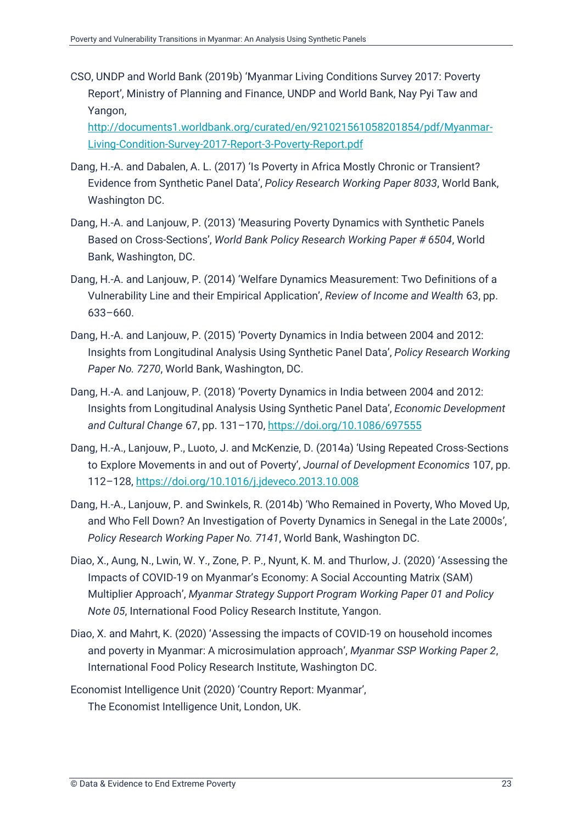CSO, UNDP and World Bank (2019b) 'Myanmar Living Conditions Survey 2017: Poverty Report', Ministry of Planning and Finance, UNDP and World Bank, Nay Pyi Taw and Yangon,

[http://documents1.worldbank.org/curated/en/921021561058201854/pdf/Myanmar-](http://documents1.worldbank.org/curated/en/921021561058201854/pdf/Myanmar-Living-Condition-Survey-2017-Report-3-Poverty-Report.pdf)[Living-Condition-Survey-2017-Report-3-Poverty-Report.pdf](http://documents1.worldbank.org/curated/en/921021561058201854/pdf/Myanmar-Living-Condition-Survey-2017-Report-3-Poverty-Report.pdf)

- Dang, H.-A. and Dabalen, A. L. (2017) 'Is Poverty in Africa Mostly Chronic or Transient? Evidence from Synthetic Panel Data', *Policy Research Working Paper 8033*, World Bank, Washington DC.
- Dang, H.-A. and Lanjouw, P. (2013) 'Measuring Poverty Dynamics with Synthetic Panels Based on Cross-Sections', *World Bank Policy Research Working Paper # 6504*, World Bank, Washington, DC.
- Dang, H.-A. and Lanjouw, P. (2014) 'Welfare Dynamics Measurement: Two Definitions of a Vulnerability Line and their Empirical Application', *Review of Income and Wealth* 63, pp. 633–660.
- Dang, H.-A. and Lanjouw, P. (2015) 'Poverty Dynamics in India between 2004 and 2012: Insights from Longitudinal Analysis Using Synthetic Panel Data', *Policy Research Working Paper No. 7270*, World Bank, Washington, DC.
- Dang, H.-A. and Lanjouw, P. (2018) 'Poverty Dynamics in India between 2004 and 2012: Insights from Longitudinal Analysis Using Synthetic Panel Data', *Economic Development and Cultural Change* 67, pp. 131–170,<https://doi.org/10.1086/697555>
- Dang, H.-A., Lanjouw, P., Luoto, J. and McKenzie, D. (2014a) 'Using Repeated Cross-Sections to Explore Movements in and out of Poverty', *Journal of Development Economics* 107, pp. 112–128,<https://doi.org/10.1016/j.jdeveco.2013.10.008>
- Dang, H.-A., Lanjouw, P. and Swinkels, R. (2014b) 'Who Remained in Poverty, Who Moved Up, and Who Fell Down? An Investigation of Poverty Dynamics in Senegal in the Late 2000s', *Policy Research Working Paper No. 7141*, World Bank, Washington DC.
- Diao, X., Aung, N., Lwin, W. Y., Zone, P. P., Nyunt, K. M. and Thurlow, J. (2020) 'Assessing the Impacts of COVID-19 on Myanmar's Economy: A Social Accounting Matrix (SAM) Multiplier Approach', *Myanmar Strategy Support Program Working Paper 01 and Policy Note 05*, International Food Policy Research Institute, Yangon.
- Diao, X. and Mahrt, K. (2020) 'Assessing the impacts of COVID-19 on household incomes and poverty in Myanmar: A microsimulation approach', *Myanmar SSP Working Paper 2*, International Food Policy Research Institute, Washington DC.
- Economist Intelligence Unit (2020) 'Country Report: Myanmar', The Economist Intelligence Unit, London, UK.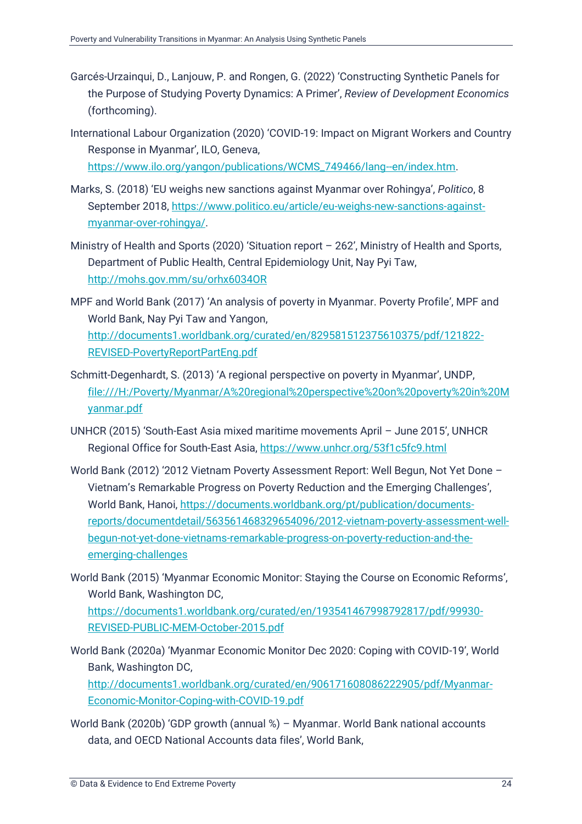- Garcés-Urzainqui, D., Lanjouw, P. and Rongen, G. (2022) 'Constructing Synthetic Panels for the Purpose of Studying Poverty Dynamics: A Primer', *Review of Development Economics* (forthcoming).
- International Labour Organization (2020) 'COVID-19: Impact on Migrant Workers and Country Response in Myanmar', ILO, Geneva, [https://www.ilo.org/yangon/publications/WCMS\\_749466/lang--en/index.htm.](https://www.ilo.org/yangon/publications/WCMS_749466/lang--en/index.htm)
- Marks, S. (2018) 'EU weighs new sanctions against Myanmar over Rohingya', *Politico*, 8 September 2018, [https://www.politico.eu/article/eu-weighs-new-sanctions-against](https://www.politico.eu/article/eu-weighs-new-sanctions-against-myanmar-over-rohingya/)[myanmar-over-rohingya/.](https://www.politico.eu/article/eu-weighs-new-sanctions-against-myanmar-over-rohingya/)
- Ministry of Health and Sports (2020) 'Situation report 262', Ministry of Health and Sports, Department of Public Health, Central Epidemiology Unit, Nay Pyi Taw, <http://mohs.gov.mm/su/orhx6034OR>
- MPF and World Bank (2017) 'An analysis of poverty in Myanmar. Poverty Profile', MPF and World Bank, Nay Pyi Taw and Yangon, [http://documents1.worldbank.org/curated/en/829581512375610375/pdf/121822-](http://documents1.worldbank.org/curated/en/829581512375610375/pdf/121822-REVISED-PovertyReportPartEng.pdf) [REVISED-PovertyReportPartEng.pdf](http://documents1.worldbank.org/curated/en/829581512375610375/pdf/121822-REVISED-PovertyReportPartEng.pdf)
- Schmitt-Degenhardt, S. (2013) 'A regional perspective on poverty in Myanmar', UNDP, [file:///H:/Poverty/Myanmar/A%20regional%20perspective%20on%20poverty%20in%20M](file:///H:/Poverty/Myanmar/A%20regional%20perspective%20on%20poverty%20in%20Myanmar.pdf) [yanmar.pdf](file:///H:/Poverty/Myanmar/A%20regional%20perspective%20on%20poverty%20in%20Myanmar.pdf)
- UNHCR (2015) 'South-East Asia mixed maritime movements April June 2015', UNHCR Regional Office for South-East Asia,<https://www.unhcr.org/53f1c5fc9.html>
- World Bank (2012) '2012 Vietnam Poverty Assessment Report: Well Begun, Not Yet Done Vietnam's Remarkable Progress on Poverty Reduction and the Emerging Challenges', World Bank, Hanoi, [https://documents.worldbank.org/pt/publication/documents](https://documents.worldbank.org/pt/publication/documents-reports/documentdetail/563561468329654096/2012-vietnam-poverty-assessment-well-begun-not-yet-done-vietnams-remarkable-progress-on-poverty-reduction-and-the-emerging-challenges)[reports/documentdetail/563561468329654096/2012-vietnam-poverty-assessment-well](https://documents.worldbank.org/pt/publication/documents-reports/documentdetail/563561468329654096/2012-vietnam-poverty-assessment-well-begun-not-yet-done-vietnams-remarkable-progress-on-poverty-reduction-and-the-emerging-challenges)[begun-not-yet-done-vietnams-remarkable-progress-on-poverty-reduction-and-the](https://documents.worldbank.org/pt/publication/documents-reports/documentdetail/563561468329654096/2012-vietnam-poverty-assessment-well-begun-not-yet-done-vietnams-remarkable-progress-on-poverty-reduction-and-the-emerging-challenges)[emerging-challenges](https://documents.worldbank.org/pt/publication/documents-reports/documentdetail/563561468329654096/2012-vietnam-poverty-assessment-well-begun-not-yet-done-vietnams-remarkable-progress-on-poverty-reduction-and-the-emerging-challenges)
- World Bank (2015) 'Myanmar Economic Monitor: Staying the Course on Economic Reforms', World Bank, Washington DC, [https://documents1.worldbank.org/curated/en/193541467998792817/pdf/99930-](https://documents1.worldbank.org/curated/en/193541467998792817/pdf/99930-REVISED-PUBLIC-MEM-October-2015.pdf) [REVISED-PUBLIC-MEM-October-2015.pdf](https://documents1.worldbank.org/curated/en/193541467998792817/pdf/99930-REVISED-PUBLIC-MEM-October-2015.pdf)
- World Bank (2020a) 'Myanmar Economic Monitor Dec 2020: Coping with COVID-19', World Bank, Washington DC, [http://documents1.worldbank.org/curated/en/906171608086222905/pdf/Myanmar-](http://documents1.worldbank.org/curated/en/906171608086222905/pdf/Myanmar-Economic-Monitor-Coping-with-COVID-19.pdf)[Economic-Monitor-Coping-with-COVID-19.pdf](http://documents1.worldbank.org/curated/en/906171608086222905/pdf/Myanmar-Economic-Monitor-Coping-with-COVID-19.pdf)
- World Bank (2020b) 'GDP growth (annual %) Myanmar. World Bank national accounts data, and OECD National Accounts data files', World Bank,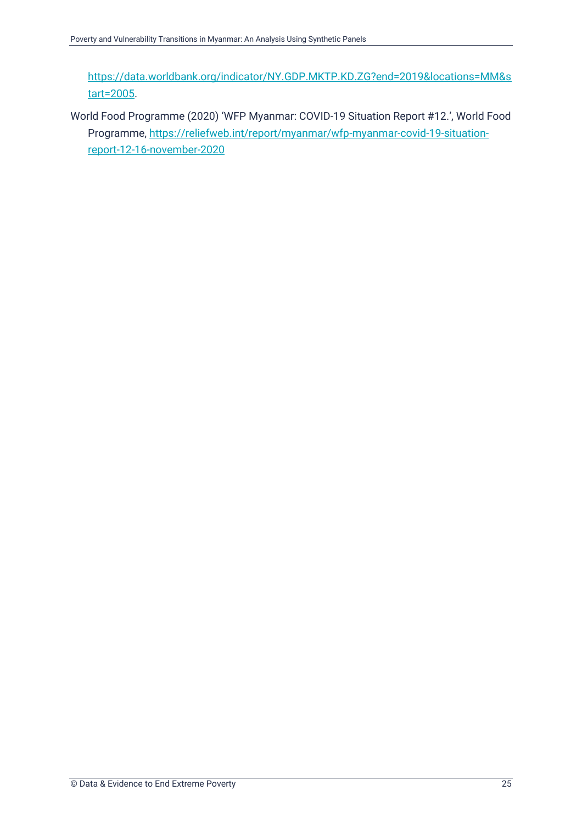[https://data.worldbank.org/indicator/NY.GDP.MKTP.KD.ZG?end=2019&locations=MM&s](https://data.worldbank.org/indicator/NY.GDP.MKTP.KD.ZG?end=2019&locations=MM&start=2005) [tart=2005.](https://data.worldbank.org/indicator/NY.GDP.MKTP.KD.ZG?end=2019&locations=MM&start=2005)

World Food Programme (2020) 'WFP Myanmar: COVID-19 Situation Report #12.', World Food Programme[, https://reliefweb.int/report/myanmar/wfp-myanmar-covid-19-situation](https://reliefweb.int/report/myanmar/wfp-myanmar-covid-19-situation-report-12-16-november-2020)[report-12-16-november-2020](https://reliefweb.int/report/myanmar/wfp-myanmar-covid-19-situation-report-12-16-november-2020)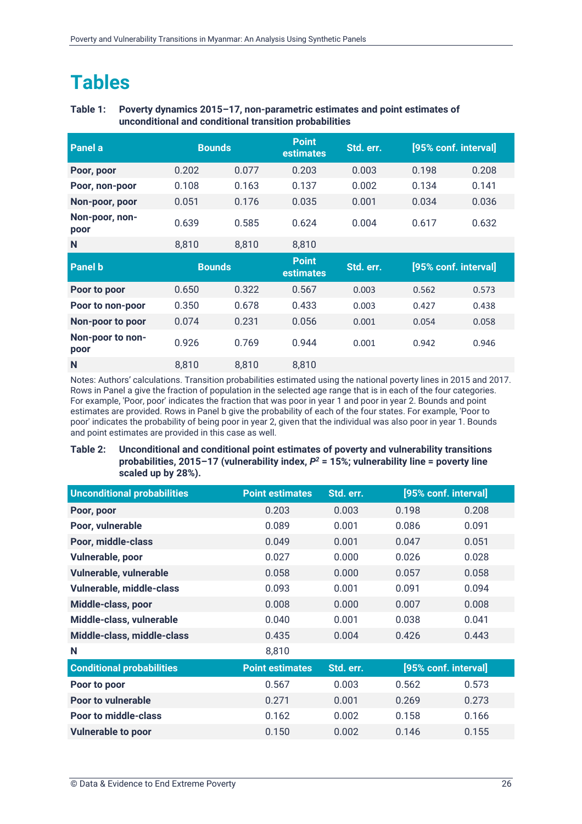### <span id="page-29-0"></span>**Tables**

#### **Table 1: Poverty dynamics 2015–17, non-parametric estimates and point estimates of unconditional and conditional transition probabilities**

| Panel a                  | <b>Bounds</b> |       | <b>Point</b><br><b>estimates</b> | Std. err. | [95% conf. interval] |       |
|--------------------------|---------------|-------|----------------------------------|-----------|----------------------|-------|
| Poor, poor               | 0.202         | 0.077 | 0.203                            | 0.003     | 0.198                | 0.208 |
| Poor, non-poor           | 0.108         | 0.163 | 0.137                            | 0.002     | 0.134                | 0.141 |
| Non-poor, poor           | 0.051         | 0.176 | 0.035                            | 0.001     | 0.034                | 0.036 |
| Non-poor, non-<br>poor   | 0.639         | 0.585 | 0.624                            | 0.004     | 0.617                | 0.632 |
| N                        | 8,810         | 8,810 | 8,810                            |           |                      |       |
|                          |               |       |                                  |           |                      |       |
| <b>Panel b</b>           | <b>Bounds</b> |       | <b>Point</b><br><b>estimates</b> | Std. err. | [95% conf. interval] |       |
| Poor to poor             | 0.650         | 0.322 | 0.567                            | 0.003     | 0.562                | 0.573 |
| Poor to non-poor         | 0.350         | 0.678 | 0.433                            | 0.003     | 0.427                | 0.438 |
| Non-poor to poor         | 0.074         | 0.231 | 0.056                            | 0.001     | 0.054                | 0.058 |
| Non-poor to non-<br>poor | 0.926         | 0.769 | 0.944                            | 0.001     | 0.942                | 0.946 |

Notes: Authors' calculations. Transition probabilities estimated using the national poverty lines in 2015 and 2017. Rows in Panel a give the fraction of population in the selected age range that is in each of the four categories. For example, 'Poor, poor' indicates the fraction that was poor in year 1 and poor in year 2. Bounds and point estimates are provided. Rows in Panel b give the probability of each of the four states. For example, 'Poor to poor' indicates the probability of being poor in year 2, given that the individual was also poor in year 1. Bounds and point estimates are provided in this case as well.

#### **Table 2: Unconditional and conditional point estimates of poverty and vulnerability transitions probabilities, 2015–17 (vulnerability index,** *P <sup>2</sup>* **= 15%; vulnerability line = poverty line scaled up by 28%).**

| <b>Unconditional probabilities</b> | <b>Point estimates</b> | Std. err. |       | [95% conf. interval] |
|------------------------------------|------------------------|-----------|-------|----------------------|
| Poor, poor                         | 0.203                  | 0.003     | 0.198 | 0.208                |
| Poor, vulnerable                   | 0.089                  | 0.001     | 0.086 | 0.091                |
| Poor, middle-class                 | 0.049                  | 0.001     | 0.047 | 0.051                |
| Vulnerable, poor                   | 0.027                  | 0.000     | 0.026 | 0.028                |
| Vulnerable, vulnerable             | 0.058                  | 0.000     | 0.057 | 0.058                |
| Vulnerable, middle-class           | 0.093                  | 0.001     | 0.091 | 0.094                |
| Middle-class, poor                 | 0.008                  | 0.000     | 0.007 | 0.008                |
| Middle-class, vulnerable           | 0.040                  | 0.001     | 0.038 | 0.041                |
| Middle-class, middle-class         | 0.435                  | 0.004     | 0.426 | 0.443                |
| N                                  | 8,810                  |           |       |                      |
| <b>Conditional probabilities</b>   | <b>Point estimates</b> | Std. err. |       | [95% conf. interval] |
| Poor to poor                       | 0.567                  | 0.003     | 0.562 | 0.573                |
| <b>Poor to vulnerable</b>          | 0.271                  | 0.001     | 0.269 | 0.273                |
| <b>Poor to middle-class</b>        | 0.162                  | 0.002     | 0.158 | 0.166                |
| <b>Vulnerable to poor</b>          | 0.150                  | 0.002     | 0.146 | 0.155                |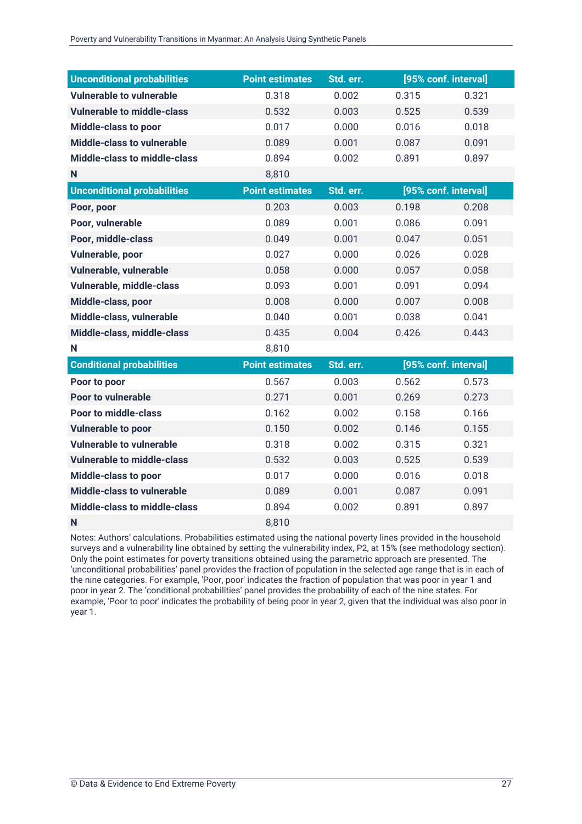| <b>Unconditional probabilities</b>  | <b>Point estimates</b> | Std. err. |       | [95% conf. interval] |
|-------------------------------------|------------------------|-----------|-------|----------------------|
| <b>Vulnerable to vulnerable</b>     | 0.318                  | 0.002     | 0.315 | 0.321                |
| <b>Vulnerable to middle-class</b>   | 0.532                  | 0.003     | 0.525 | 0.539                |
| Middle-class to poor                | 0.017                  | 0.000     | 0.016 | 0.018                |
| <b>Middle-class to vulnerable</b>   | 0.089                  | 0.001     | 0.087 | 0.091                |
| <b>Middle-class to middle-class</b> | 0.894                  | 0.002     | 0.891 | 0.897                |
| N                                   | 8,810                  |           |       |                      |
| <b>Unconditional probabilities</b>  | <b>Point estimates</b> | Std. err. |       | [95% conf. interval] |
| Poor, poor                          | 0.203                  | 0.003     | 0.198 | 0.208                |
| Poor, vulnerable                    | 0.089                  | 0.001     | 0.086 | 0.091                |
| Poor, middle-class                  | 0.049                  | 0.001     | 0.047 | 0.051                |
| Vulnerable, poor                    | 0.027                  | 0.000     | 0.026 | 0.028                |
| Vulnerable, vulnerable              | 0.058                  | 0.000     | 0.057 | 0.058                |
| Vulnerable, middle-class            | 0.093                  | 0.001     | 0.091 | 0.094                |
| Middle-class, poor                  | 0.008                  | 0.000     | 0.007 | 0.008                |
| Middle-class, vulnerable            | 0.040                  | 0.001     | 0.038 | 0.041                |
| Middle-class, middle-class          | 0.435                  | 0.004     | 0.426 | 0.443                |
| N                                   | 8,810                  |           |       |                      |
| <b>Conditional probabilities</b>    | <b>Point estimates</b> | Std. err. |       | [95% conf. interval] |
| Poor to poor                        | 0.567                  | 0.003     | 0.562 | 0.573                |
| <b>Poor to vulnerable</b>           | 0.271                  | 0.001     | 0.269 | 0.273                |
| <b>Poor to middle-class</b>         | 0.162                  | 0.002     | 0.158 | 0.166                |
| <b>Vulnerable to poor</b>           | 0.150                  | 0.002     | 0.146 | 0.155                |
| <b>Vulnerable to vulnerable</b>     | 0.318                  | 0.002     | 0.315 | 0.321                |
| <b>Vulnerable to middle-class</b>   | 0.532                  | 0.003     | 0.525 | 0.539                |
| Middle-class to poor                | 0.017                  | 0.000     | 0.016 | 0.018                |
| <b>Middle-class to vulnerable</b>   | 0.089                  | 0.001     | 0.087 | 0.091                |
| <b>Middle-class to middle-class</b> | 0.894                  | 0.002     | 0.891 | 0.897                |
| N                                   | 8,810                  |           |       |                      |

Notes: Authors' calculations. Probabilities estimated using the national poverty lines provided in the household surveys and a vulnerability line obtained by setting the vulnerability index, P2, at 15% (see methodology section). Only the point estimates for poverty transitions obtained using the parametric approach are presented. The 'unconditional probabilities' panel provides the fraction of population in the selected age range that is in each of the nine categories. For example, 'Poor, poor' indicates the fraction of population that was poor in year 1 and poor in year 2. The 'conditional probabilities' panel provides the probability of each of the nine states. For example, 'Poor to poor' indicates the probability of being poor in year 2, given that the individual was also poor in year 1.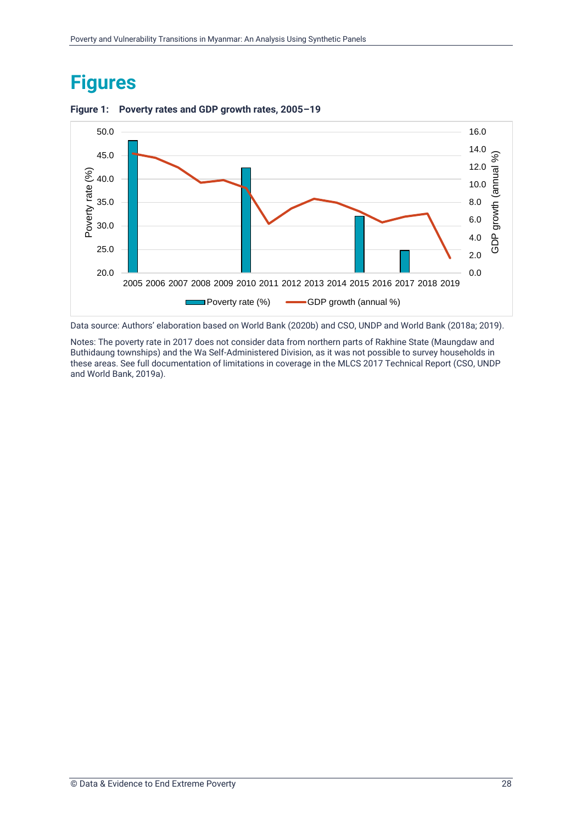### <span id="page-31-0"></span>**Figures**



#### **Figure 1: Poverty rates and GDP growth rates, 2005–19**

Data source: Authors' elaboration based on World Bank (2020b) and CSO, UNDP and World Bank (2018a; 2019).

Notes: The poverty rate in 2017 does not consider data from northern parts of Rakhine State (Maungdaw and Buthidaung townships) and the Wa Self-Administered Division, as it was not possible to survey households in these areas. See full documentation of limitations in coverage in the MLCS 2017 Technical Report (CSO, UNDP and World Bank, 2019a).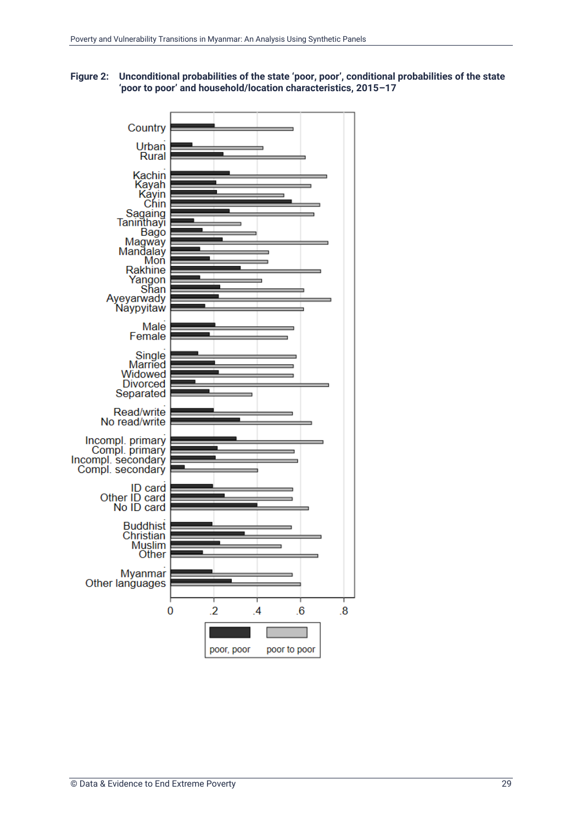

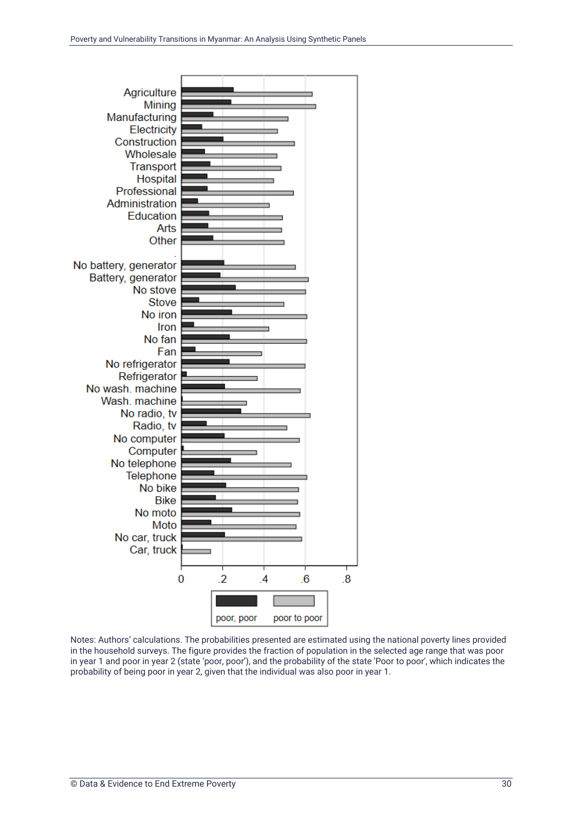

Notes: Authors' calculations. The probabilities presented are estimated using the national poverty lines provided in the household surveys. The figure provides the fraction of population in the selected age range that was poor in year 1 and poor in year 2 (state 'poor, poor'), and the probability of the state 'Poor to poor', which indicates the probability of being poor in year 2, given that the individual was also poor in year 1.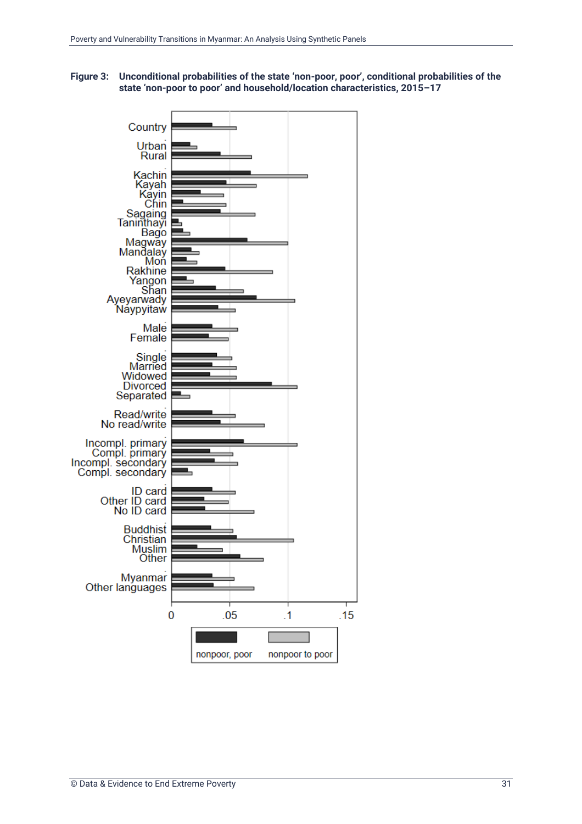

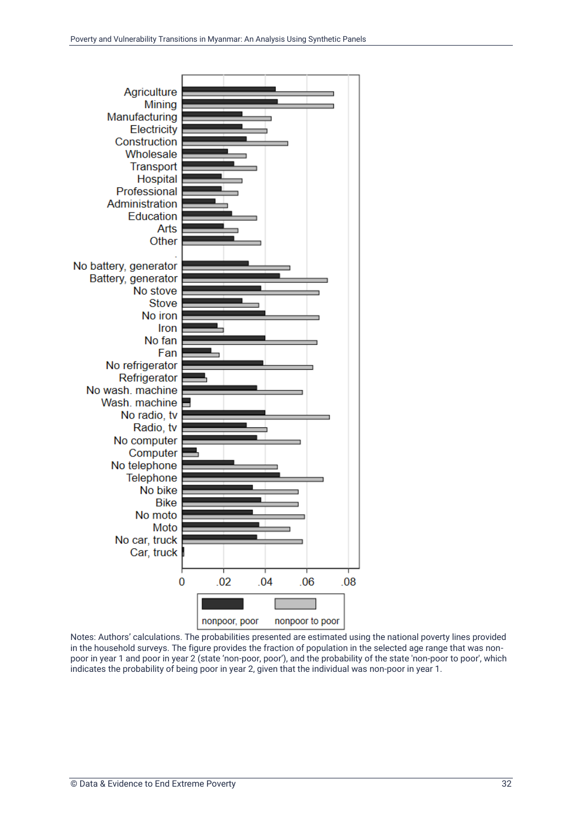

Notes: Authors' calculations. The probabilities presented are estimated using the national poverty lines provided in the household surveys. The figure provides the fraction of population in the selected age range that was nonpoor in year 1 and poor in year 2 (state 'non-poor, poor'), and the probability of the state 'non-poor to poor', which indicates the probability of being poor in year 2, given that the individual was non-poor in year 1.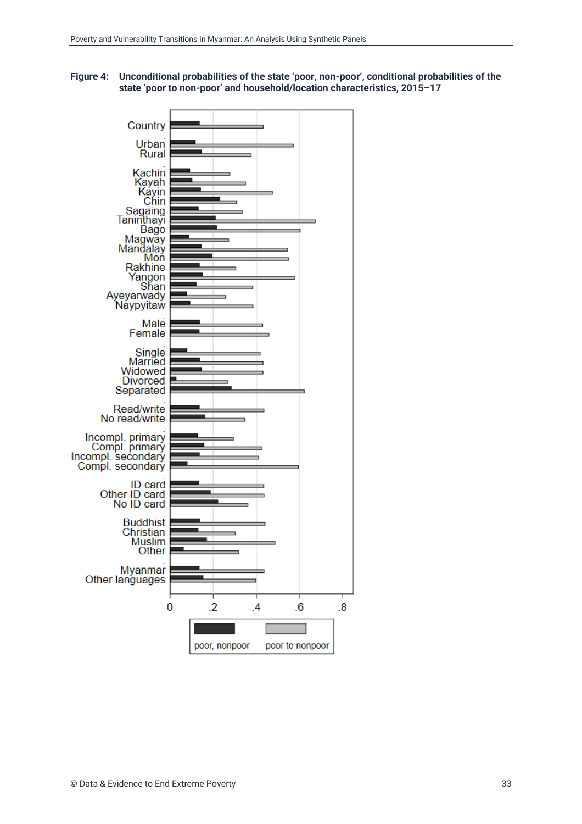

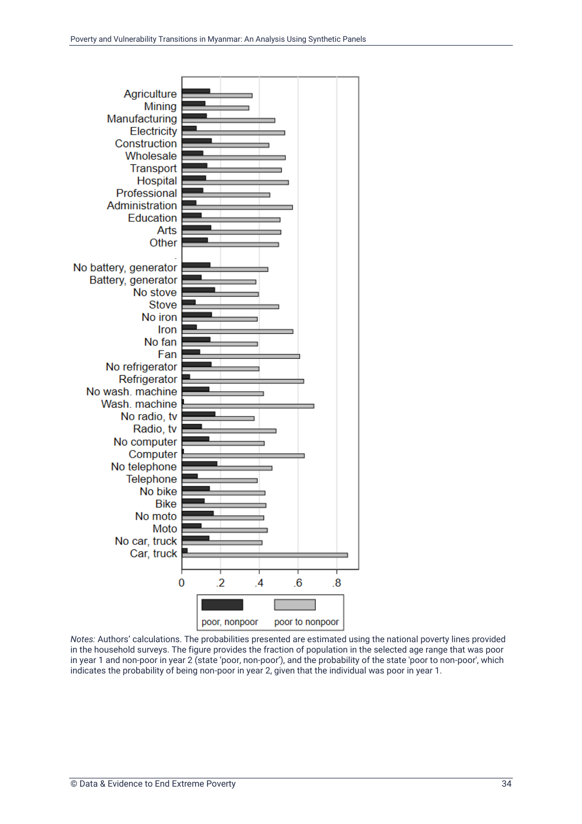

*Notes:* Authors' calculations. The probabilities presented are estimated using the national poverty lines provided in the household surveys. The figure provides the fraction of population in the selected age range that was poor in year 1 and non-poor in year 2 (state 'poor, non-poor'), and the probability of the state 'poor to non-poor', which indicates the probability of being non-poor in year 2, given that the individual was poor in year 1.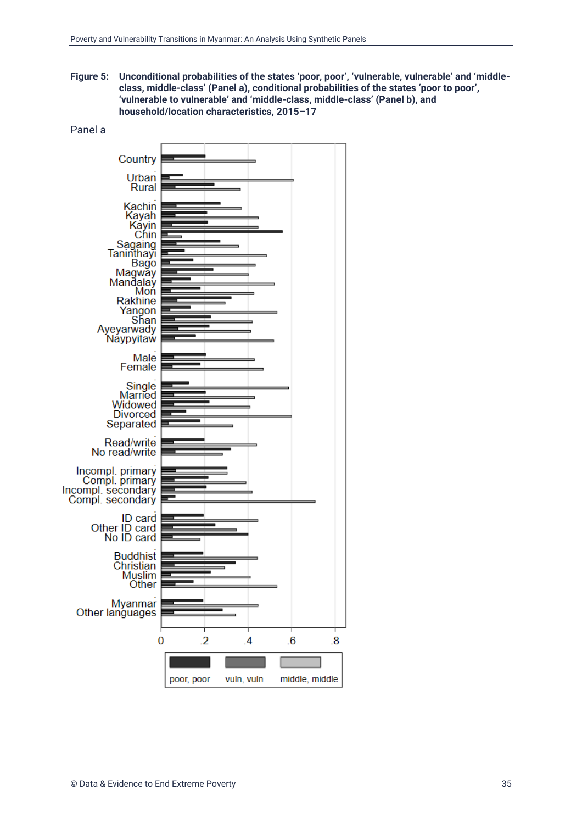**Figure 5: Unconditional probabilities of the states 'poor, poor', 'vulnerable, vulnerable' and 'middleclass, middle-class' (Panel a), conditional probabilities of the states 'poor to poor', 'vulnerable to vulnerable' and 'middle-class, middle-class' (Panel b), and household/location characteristics, 2015–17**

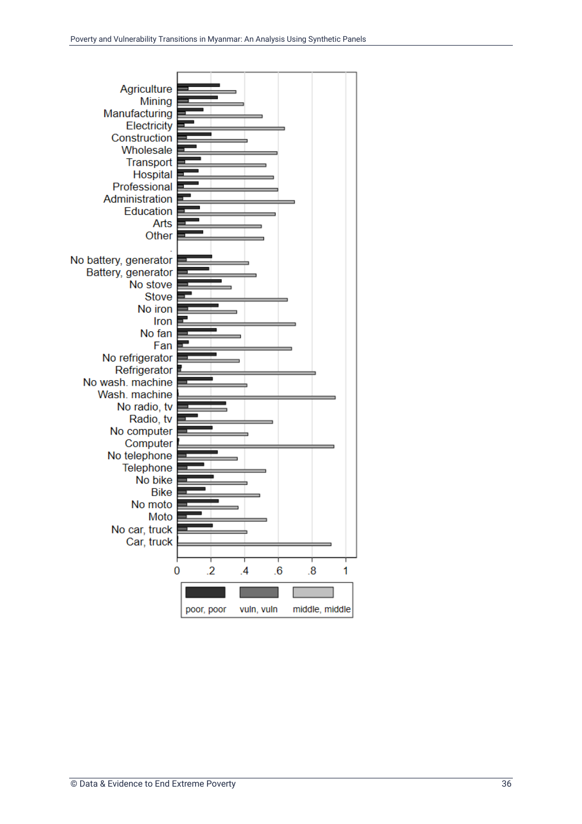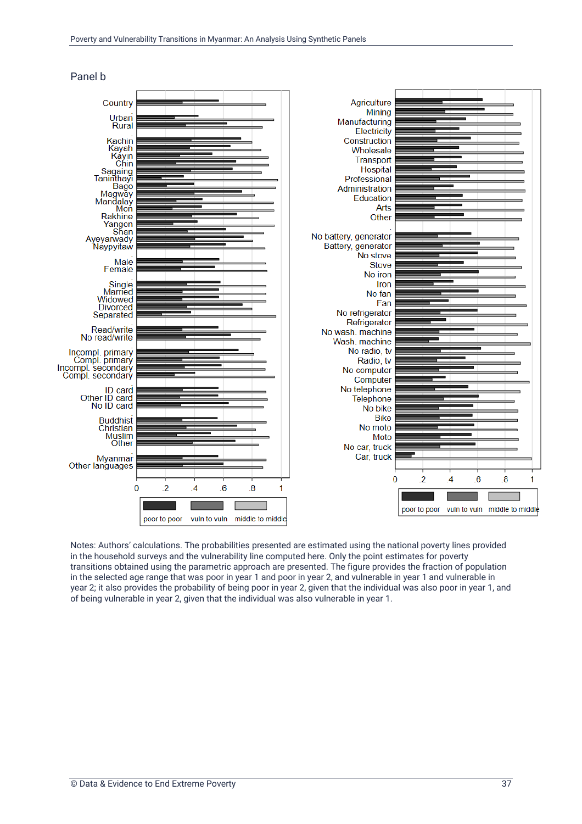

Panel b

Notes: Authors' calculations. The probabilities presented are estimated using the national poverty lines provided in the household surveys and the vulnerability line computed here. Only the point estimates for poverty transitions obtained using the parametric approach are presented. The figure provides the fraction of population in the selected age range that was poor in year 1 and poor in year 2, and vulnerable in year 1 and vulnerable in year 2; it also provides the probability of being poor in year 2, given that the individual was also poor in year 1, and of being vulnerable in year 2, given that the individual was also vulnerable in year 1.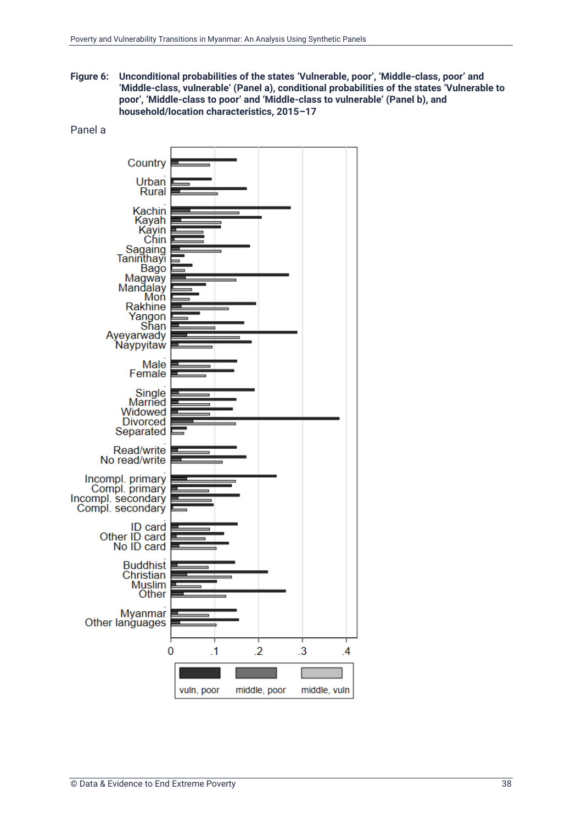**Figure 6: Unconditional probabilities of the states 'Vulnerable, poor', 'Middle-class, poor' and 'Middle-class, vulnerable' (Panel a), conditional probabilities of the states 'Vulnerable to poor', 'Middle-class to poor' and 'Middle-class to vulnerable' (Panel b), and household/location characteristics, 2015–17**



#### Panel a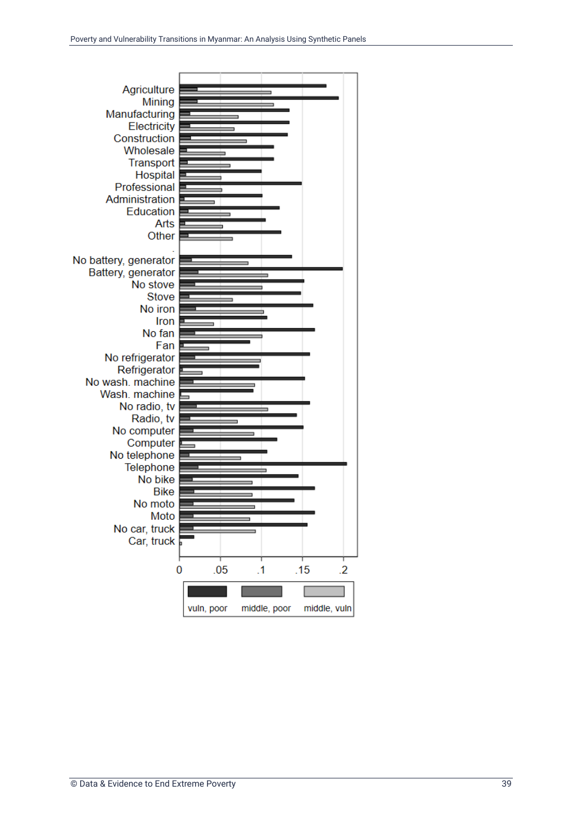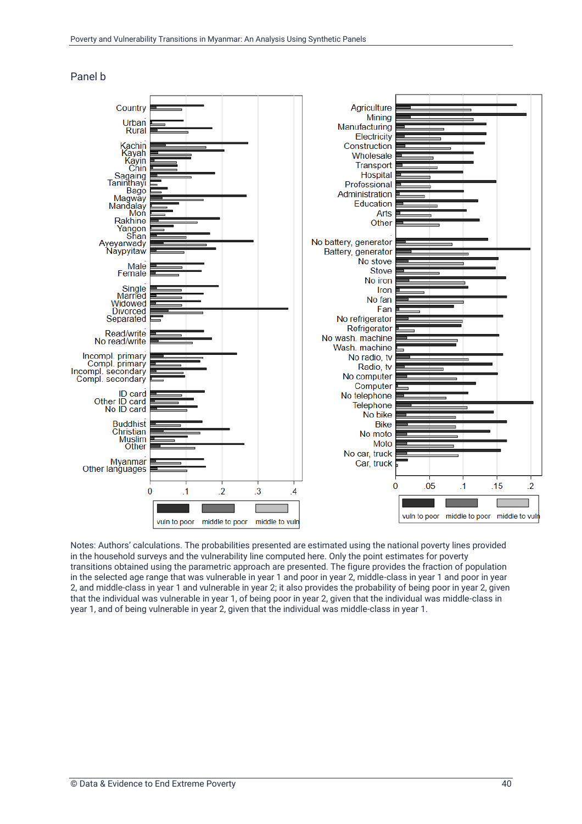![](_page_43_Figure_1.jpeg)

![](_page_43_Figure_2.jpeg)

Notes: Authors' calculations. The probabilities presented are estimated using the national poverty lines provided in the household surveys and the vulnerability line computed here. Only the point estimates for poverty transitions obtained using the parametric approach are presented. The figure provides the fraction of population in the selected age range that was vulnerable in year 1 and poor in year 2, middle-class in year 1 and poor in year 2, and middle-class in year 1 and vulnerable in year 2; it also provides the probability of being poor in year 2, given that the individual was vulnerable in year 1, of being poor in year 2, given that the individual was middle-class in year 1, and of being vulnerable in year 2, given that the individual was middle-class in year 1.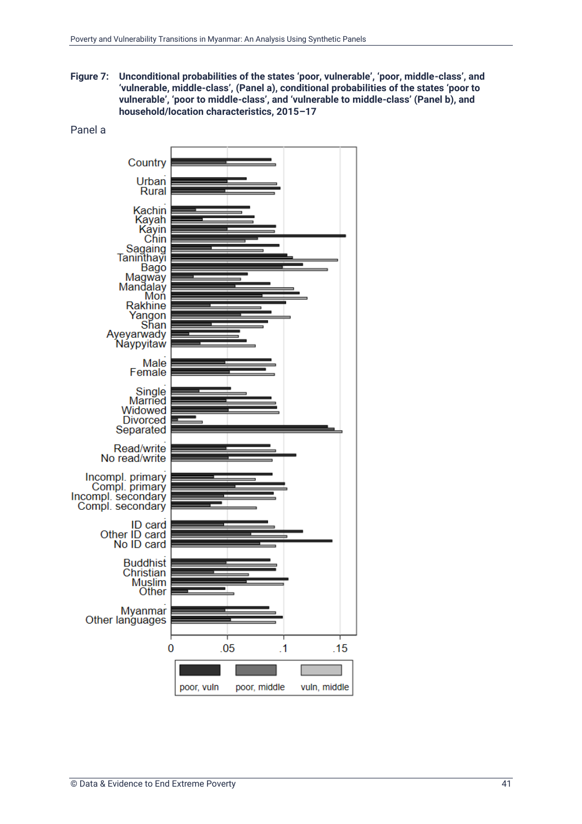**Figure 7: Unconditional probabilities of the states 'poor, vulnerable', 'poor, middle-class', and 'vulnerable, middle-class', (Panel a), conditional probabilities of the states 'poor to vulnerable', 'poor to middle-class', and 'vulnerable to middle-class' (Panel b), and household/location characteristics, 2015–17**

![](_page_44_Figure_2.jpeg)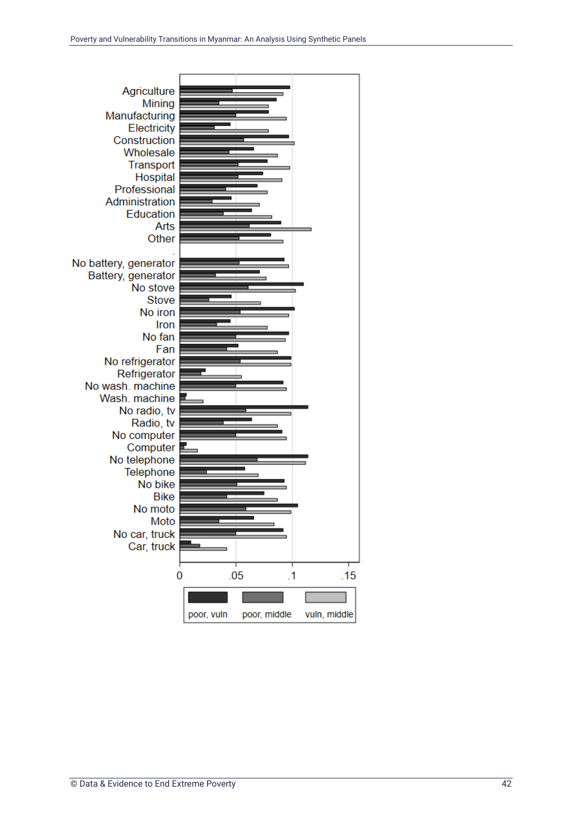![](_page_45_Figure_1.jpeg)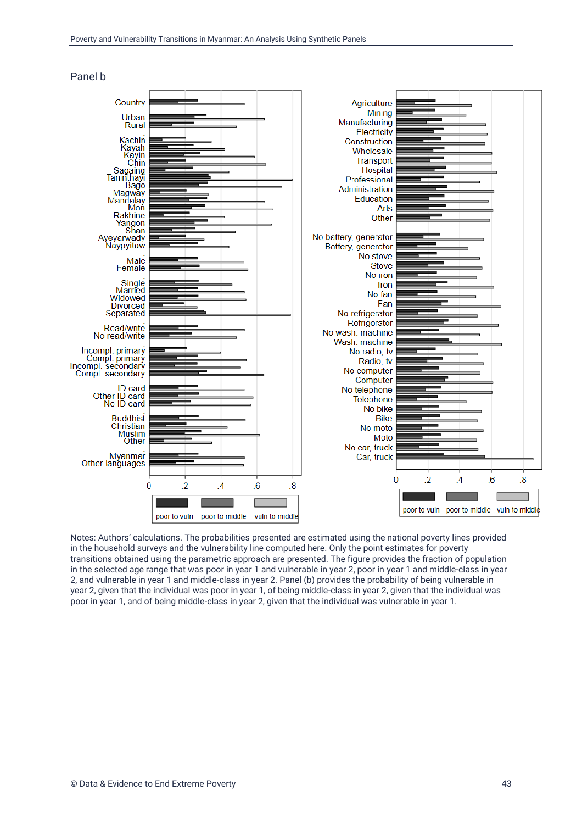![](_page_46_Figure_1.jpeg)

#### Panel b

Notes: Authors' calculations. The probabilities presented are estimated using the national poverty lines provided in the household surveys and the vulnerability line computed here. Only the point estimates for poverty transitions obtained using the parametric approach are presented. The figure provides the fraction of population in the selected age range that was poor in year 1 and vulnerable in year 2, poor in year 1 and middle-class in year 2, and vulnerable in year 1 and middle-class in year 2. Panel (b) provides the probability of being vulnerable in year 2, given that the individual was poor in year 1, of being middle-class in year 2, given that the individual was poor in year 1, and of being middle-class in year 2, given that the individual was vulnerable in year 1.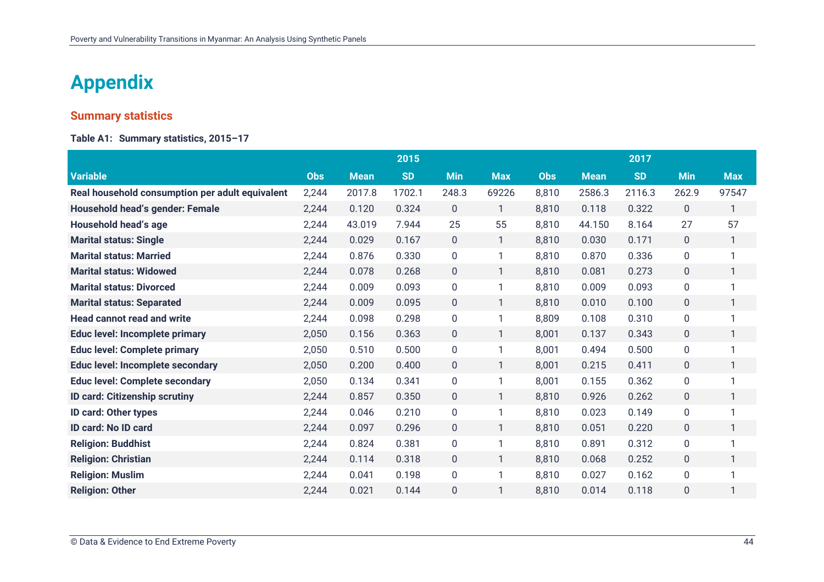### **Appendix**

#### **Summary statistics**

**Table A1: Summary statistics, 2015–17**

<span id="page-47-0"></span>

|                                                 |            |             | 2015      |              |                |            |             | 2017      |                  |              |
|-------------------------------------------------|------------|-------------|-----------|--------------|----------------|------------|-------------|-----------|------------------|--------------|
| <b>Variable</b>                                 | <b>Obs</b> | <b>Mean</b> | <b>SD</b> | <b>Min</b>   | <b>Max</b>     | <b>Obs</b> | <b>Mean</b> | <b>SD</b> | <b>Min</b>       | <b>Max</b>   |
| Real household consumption per adult equivalent | 2,244      | 2017.8      | 1702.1    | 248.3        | 69226          | 8,810      | 2586.3      | 2116.3    | 262.9            | 97547        |
| <b>Household head's gender: Female</b>          | 2,244      | 0.120       | 0.324     | $\mathbf{0}$ | $\mathbf{1}$   | 8,810      | 0.118       | 0.322     | $\mathbf{0}$     | 1            |
| Household head's age                            | 2,244      | 43.019      | 7.944     | 25           | 55             | 8,810      | 44.150      | 8.164     | 27               | 57           |
| <b>Marital status: Single</b>                   | 2,244      | 0.029       | 0.167     | $\mathbf 0$  | $\mathbf{1}$   | 8,810      | 0.030       | 0.171     | $\mathbf{0}$     | 1            |
| <b>Marital status: Married</b>                  | 2,244      | 0.876       | 0.330     | 0            | 1              | 8,810      | 0.870       | 0.336     | 0                | 1            |
| <b>Marital status: Widowed</b>                  | 2,244      | 0.078       | 0.268     | $\mathbf 0$  | $\mathbf{1}$   | 8,810      | 0.081       | 0.273     | $\mathbf 0$      | $\mathbf{1}$ |
| <b>Marital status: Divorced</b>                 | 2,244      | 0.009       | 0.093     | 0            |                | 8,810      | 0.009       | 0.093     | $\boldsymbol{0}$ |              |
| <b>Marital status: Separated</b>                | 2,244      | 0.009       | 0.095     | $\pmb{0}$    | 1              | 8,810      | 0.010       | 0.100     | $\pmb{0}$        | 1            |
| <b>Head cannot read and write</b>               | 2,244      | 0.098       | 0.298     | 0            |                | 8,809      | 0.108       | 0.310     | 0                | 1            |
| <b>Educ level: Incomplete primary</b>           | 2,050      | 0.156       | 0.363     | $\mathbf 0$  | $\mathbf{1}$   | 8,001      | 0.137       | 0.343     | $\mathbf 0$      | $\mathbf{1}$ |
| <b>Educ level: Complete primary</b>             | 2,050      | 0.510       | 0.500     | 0            |                | 8,001      | 0.494       | 0.500     | $\mathbf 0$      |              |
| <b>Educ level: Incomplete secondary</b>         | 2,050      | 0.200       | 0.400     | $\mathbf{0}$ | $\mathbf{1}$   | 8,001      | 0.215       | 0.411     | $\mathbf{0}$     | 1            |
| <b>Educ level: Complete secondary</b>           | 2,050      | 0.134       | 0.341     | 0            |                | 8,001      | 0.155       | 0.362     | 0                | 1            |
| <b>ID card: Citizenship scrutiny</b>            | 2,244      | 0.857       | 0.350     | $\mathbf 0$  | $\mathbf{1}$   | 8,810      | 0.926       | 0.262     | $\mathbf 0$      | 1            |
| <b>ID card: Other types</b>                     | 2,244      | 0.046       | 0.210     | 0            |                | 8,810      | 0.023       | 0.149     | $\mathbf 0$      |              |
| ID card: No ID card                             | 2,244      | 0.097       | 0.296     | $\mathbf 0$  | $\mathbf{1}$   | 8,810      | 0.051       | 0.220     | $\mathbf 0$      | 1            |
| <b>Religion: Buddhist</b>                       | 2,244      | 0.824       | 0.381     | 0            |                | 8,810      | 0.891       | 0.312     | 0                |              |
| <b>Religion: Christian</b>                      | 2,244      | 0.114       | 0.318     | $\mathbf{0}$ | $\overline{1}$ | 8,810      | 0.068       | 0.252     | $\mathbf 0$      | 1            |
| <b>Religion: Muslim</b>                         | 2,244      | 0.041       | 0.198     | 0            |                | 8,810      | 0.027       | 0.162     | $\mathbf 0$      |              |
| <b>Religion: Other</b>                          | 2,244      | 0.021       | 0.144     | 0            |                | 8,810      | 0.014       | 0.118     | $\mathbf 0$      | 1            |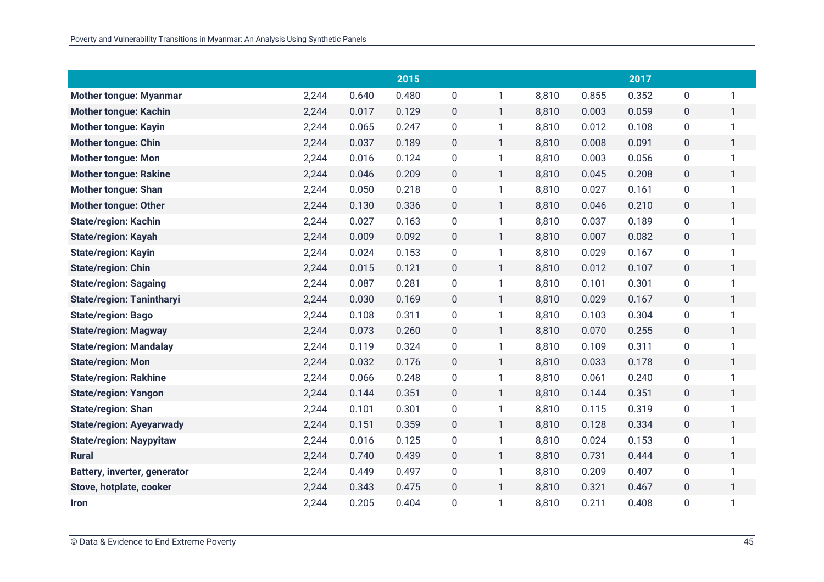|                                     |       |       | 2015  |                  |              |       |       | 2017  |                  |              |
|-------------------------------------|-------|-------|-------|------------------|--------------|-------|-------|-------|------------------|--------------|
| <b>Mother tongue: Myanmar</b>       | 2,244 | 0.640 | 0.480 | 0                | 1            | 8,810 | 0.855 | 0.352 | $\mathbf 0$      | 1            |
| <b>Mother tongue: Kachin</b>        | 2,244 | 0.017 | 0.129 | $\mathbf 0$      | $\mathbf{1}$ | 8,810 | 0.003 | 0.059 | $\mathbf 0$      | $\mathbf{1}$ |
| <b>Mother tongue: Kayin</b>         | 2,244 | 0.065 | 0.247 | 0                | 1            | 8,810 | 0.012 | 0.108 | $\boldsymbol{0}$ | $\mathbf{1}$ |
| <b>Mother tongue: Chin</b>          | 2,244 | 0.037 | 0.189 | $\mathbf{0}$     | $\mathbf{1}$ | 8,810 | 0.008 | 0.091 | $\mathbf 0$      | $\mathbf{1}$ |
| <b>Mother tongue: Mon</b>           | 2,244 | 0.016 | 0.124 | 0                | 1            | 8,810 | 0.003 | 0.056 | $\mathbf 0$      | 1            |
| <b>Mother tongue: Rakine</b>        | 2,244 | 0.046 | 0.209 | $\boldsymbol{0}$ | $\mathbf{1}$ | 8,810 | 0.045 | 0.208 | $\mathbf 0$      | $\mathbf{1}$ |
| <b>Mother tongue: Shan</b>          | 2,244 | 0.050 | 0.218 | $\pmb{0}$        | 1            | 8,810 | 0.027 | 0.161 | $\boldsymbol{0}$ | 1            |
| <b>Mother tongue: Other</b>         | 2,244 | 0.130 | 0.336 | $\overline{0}$   | $\mathbf{1}$ | 8,810 | 0.046 | 0.210 | $\mathbf 0$      | $\mathbf{1}$ |
| <b>State/region: Kachin</b>         | 2,244 | 0.027 | 0.163 | $\mathbf 0$      | 1            | 8,810 | 0.037 | 0.189 | $\pmb{0}$        | 1            |
| <b>State/region: Kayah</b>          | 2,244 | 0.009 | 0.092 | $\overline{0}$   | $\mathbf{1}$ | 8,810 | 0.007 | 0.082 | $\boldsymbol{0}$ | $\mathbf{1}$ |
| <b>State/region: Kayin</b>          | 2,244 | 0.024 | 0.153 | 0                | 1            | 8,810 | 0.029 | 0.167 | $\mathbf 0$      | 1            |
| <b>State/region: Chin</b>           | 2,244 | 0.015 | 0.121 | $\mathbf 0$      | $\mathbf{1}$ | 8,810 | 0.012 | 0.107 | $\mathbf 0$      | $\mathbf{1}$ |
| <b>State/region: Sagaing</b>        | 2,244 | 0.087 | 0.281 | $\mathbf 0$      | 1            | 8,810 | 0.101 | 0.301 | $\mathbf 0$      | $\mathbf{1}$ |
| <b>State/region: Tanintharyi</b>    | 2,244 | 0.030 | 0.169 | 0                | $\mathbf{1}$ | 8,810 | 0.029 | 0.167 | 0                | $\mathbf{1}$ |
| <b>State/region: Bago</b>           | 2,244 | 0.108 | 0.311 | $\mathbf 0$      | 1            | 8,810 | 0.103 | 0.304 | $\pmb{0}$        | $\mathbf{1}$ |
| <b>State/region: Magway</b>         | 2,244 | 0.073 | 0.260 | $\mathbf 0$      | $\mathbf{1}$ | 8,810 | 0.070 | 0.255 | $\mathbf 0$      | $\mathbf{1}$ |
| <b>State/region: Mandalay</b>       | 2,244 | 0.119 | 0.324 | $\pmb{0}$        | 1            | 8,810 | 0.109 | 0.311 | $\pmb{0}$        | $\mathbf{1}$ |
| <b>State/region: Mon</b>            | 2,244 | 0.032 | 0.176 | $\overline{0}$   | $\mathbf{1}$ | 8,810 | 0.033 | 0.178 | $\mathbf 0$      | $\mathbf{1}$ |
| <b>State/region: Rakhine</b>        | 2,244 | 0.066 | 0.248 | $\mathbf 0$      | 1            | 8,810 | 0.061 | 0.240 | $\mathbf 0$      | 1            |
| <b>State/region: Yangon</b>         | 2,244 | 0.144 | 0.351 | $\overline{0}$   | $\mathbf{1}$ | 8,810 | 0.144 | 0.351 | $\mathbf 0$      | $\mathbf{1}$ |
| <b>State/region: Shan</b>           | 2,244 | 0.101 | 0.301 | $\mathbf 0$      | 1            | 8,810 | 0.115 | 0.319 | $\boldsymbol{0}$ | $\mathbf{1}$ |
| <b>State/region: Ayeyarwady</b>     | 2,244 | 0.151 | 0.359 | $\mathbf 0$      | $\mathbf{1}$ | 8,810 | 0.128 | 0.334 | $\pmb{0}$        | $\mathbf{1}$ |
| <b>State/region: Naypyitaw</b>      | 2,244 | 0.016 | 0.125 | $\mathbf 0$      | 1            | 8,810 | 0.024 | 0.153 | $\pmb{0}$        | 1            |
| <b>Rural</b>                        | 2,244 | 0.740 | 0.439 | $\overline{0}$   | $\mathbf{1}$ | 8,810 | 0.731 | 0.444 | $\mathbf 0$      | $\mathbf{1}$ |
| <b>Battery, inverter, generator</b> | 2,244 | 0.449 | 0.497 | 0                | 1            | 8,810 | 0.209 | 0.407 | 0                | 1            |
| Stove, hotplate, cooker             | 2,244 | 0.343 | 0.475 | $\overline{0}$   | $\mathbf{1}$ | 8,810 | 0.321 | 0.467 | $\pmb{0}$        | $\mathbf{1}$ |
| <b>Iron</b>                         | 2,244 | 0.205 | 0.404 | 0                | $\mathbf{1}$ | 8,810 | 0.211 | 0.408 | $\overline{0}$   | 1            |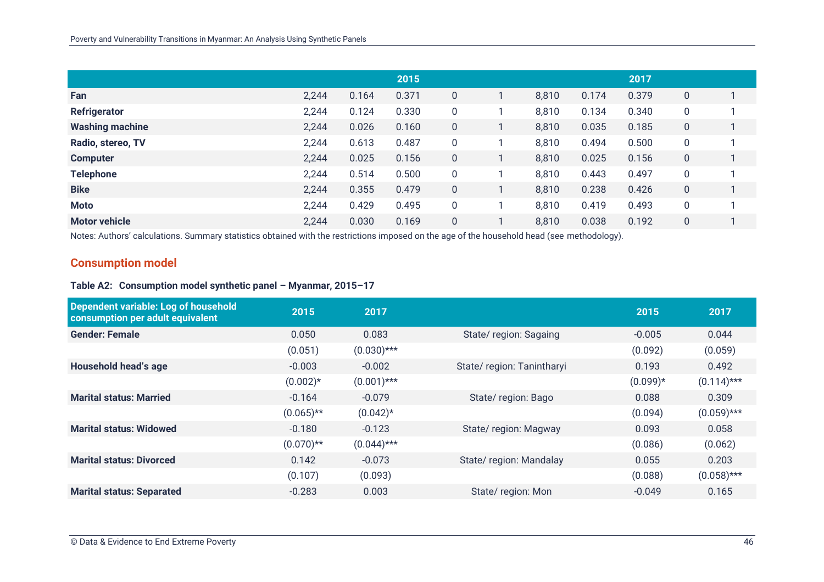|                        |       |       | 2015  |   |       |       | 2017  |   |  |
|------------------------|-------|-------|-------|---|-------|-------|-------|---|--|
| Fan                    | 2,244 | 0.164 | 0.371 | 0 | 8,810 | 0.174 | 0.379 | 0 |  |
| Refrigerator           | 2,244 | 0.124 | 0.330 | 0 | 8,810 | 0.134 | 0.340 | 0 |  |
| <b>Washing machine</b> | 2,244 | 0.026 | 0.160 | 0 | 8,810 | 0.035 | 0.185 | 0 |  |
| Radio, stereo, TV      | 2,244 | 0.613 | 0.487 | 0 | 8,810 | 0.494 | 0.500 | 0 |  |
| <b>Computer</b>        | 2,244 | 0.025 | 0.156 | 0 | 8,810 | 0.025 | 0.156 | 0 |  |
| <b>Telephone</b>       | 2,244 | 0.514 | 0.500 | 0 | 8,810 | 0.443 | 0.497 | 0 |  |
| <b>Bike</b>            | 2,244 | 0.355 | 0.479 | 0 | 8,810 | 0.238 | 0.426 | 0 |  |
| <b>Moto</b>            | 2,244 | 0.429 | 0.495 | 0 | 8,810 | 0.419 | 0.493 | 0 |  |
| <b>Motor vehicle</b>   | 2,244 | 0.030 | 0.169 | 0 | 8,810 | 0.038 | 0.192 | 0 |  |

Notes: Authors' calculations. Summary statistics obtained with the restrictions imposed on the age of the household head (see methodology).

#### **Consumption model**

#### **Table A2: Consumption model synthetic panel – Myanmar, 2015–17**

| Dependent variable: Log of household<br>consumption per adult equivalent | 2015         | 2017          |                           | 2015       | 2017          |
|--------------------------------------------------------------------------|--------------|---------------|---------------------------|------------|---------------|
| <b>Gender: Female</b>                                                    | 0.050        | 0.083         | State/region: Sagaing     | $-0.005$   | 0.044         |
|                                                                          | (0.051)      | $(0.030)$ *** |                           | (0.092)    | (0.059)       |
| Household head's age                                                     | $-0.003$     | $-0.002$      | State/region: Tanintharyi | 0.193      | 0.492         |
|                                                                          | $(0.002)*$   | $(0.001)$ *** |                           | $(0.099)*$ | $(0.114)$ *** |
| <b>Marital status: Married</b>                                           | $-0.164$     | $-0.079$      | State/region: Bago        | 0.088      | 0.309         |
|                                                                          | $(0.065)$ ** | $(0.042)$ *   |                           | (0.094)    | $(0.059)$ *** |
| <b>Marital status: Widowed</b>                                           | $-0.180$     | $-0.123$      | State/region: Magway      | 0.093      | 0.058         |
|                                                                          | $(0.070)$ ** | $(0.044)$ *** |                           | (0.086)    | (0.062)       |
| <b>Marital status: Divorced</b>                                          | 0.142        | $-0.073$      | State/region: Mandalay    | 0.055      | 0.203         |
|                                                                          | (0.107)      | (0.093)       |                           | (0.088)    | $(0.058)$ *** |
| <b>Marital status: Separated</b>                                         | $-0.283$     | 0.003         | State/region: Mon         | $-0.049$   | 0.165         |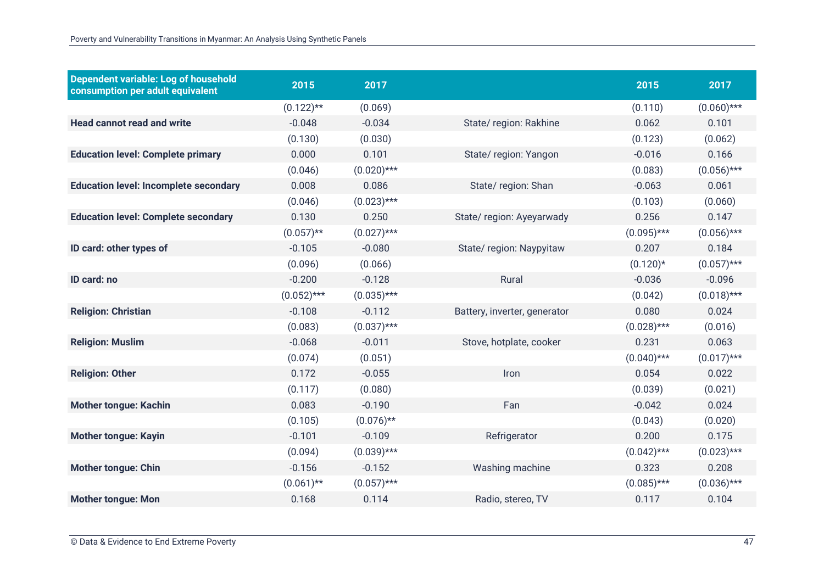| Dependent variable: Log of household<br>consumption per adult equivalent | 2015          | 2017          |                              | 2015          | 2017          |
|--------------------------------------------------------------------------|---------------|---------------|------------------------------|---------------|---------------|
|                                                                          | $(0.122)$ **  | (0.069)       |                              | (0.110)       | $(0.060)$ *** |
| <b>Head cannot read and write</b>                                        | $-0.048$      | $-0.034$      | State/region: Rakhine        | 0.062         | 0.101         |
|                                                                          | (0.130)       | (0.030)       |                              | (0.123)       | (0.062)       |
| <b>Education level: Complete primary</b>                                 | 0.000         | 0.101         | State/region: Yangon         | $-0.016$      | 0.166         |
|                                                                          | (0.046)       | $(0.020)$ *** |                              | (0.083)       | $(0.056)$ *** |
| <b>Education level: Incomplete secondary</b>                             | 0.008         | 0.086         | State/region: Shan           | $-0.063$      | 0.061         |
|                                                                          | (0.046)       | $(0.023)$ *** |                              | (0.103)       | (0.060)       |
| <b>Education level: Complete secondary</b>                               | 0.130         | 0.250         | State/region: Ayeyarwady     | 0.256         | 0.147         |
|                                                                          | $(0.057)$ **  | $(0.027)$ *** |                              | $(0.095)$ *** | $(0.056)$ *** |
| ID card: other types of                                                  | $-0.105$      | $-0.080$      | State/region: Naypyitaw      | 0.207         | 0.184         |
|                                                                          | (0.096)       | (0.066)       |                              | $(0.120)*$    | $(0.057)$ *** |
| ID card: no                                                              | $-0.200$      | $-0.128$      | Rural                        | $-0.036$      | $-0.096$      |
|                                                                          | $(0.052)$ *** | $(0.035)$ *** |                              | (0.042)       | $(0.018)$ *** |
| <b>Religion: Christian</b>                                               | $-0.108$      | $-0.112$      | Battery, inverter, generator | 0.080         | 0.024         |
|                                                                          | (0.083)       | $(0.037)$ *** |                              | $(0.028)$ *** | (0.016)       |
| <b>Religion: Muslim</b>                                                  | $-0.068$      | $-0.011$      | Stove, hotplate, cooker      | 0.231         | 0.063         |
|                                                                          | (0.074)       | (0.051)       |                              | $(0.040)$ *** | $(0.017)$ *** |
| <b>Religion: Other</b>                                                   | 0.172         | $-0.055$      | Iron                         | 0.054         | 0.022         |
|                                                                          | (0.117)       | (0.080)       |                              | (0.039)       | (0.021)       |
| <b>Mother tongue: Kachin</b>                                             | 0.083         | $-0.190$      | Fan                          | $-0.042$      | 0.024         |
|                                                                          | (0.105)       | $(0.076)$ **  |                              | (0.043)       | (0.020)       |
| <b>Mother tongue: Kayin</b>                                              | $-0.101$      | $-0.109$      | Refrigerator                 | 0.200         | 0.175         |
|                                                                          | (0.094)       | $(0.039)$ *** |                              | $(0.042)$ *** | $(0.023)$ *** |
| <b>Mother tongue: Chin</b>                                               | $-0.156$      | $-0.152$      | Washing machine              | 0.323         | 0.208         |
|                                                                          | $(0.061)$ **  | $(0.057)$ *** |                              | $(0.085)$ *** | $(0.036)$ *** |
| <b>Mother tongue: Mon</b>                                                | 0.168         | 0.114         | Radio, stereo, TV            | 0.117         | 0.104         |